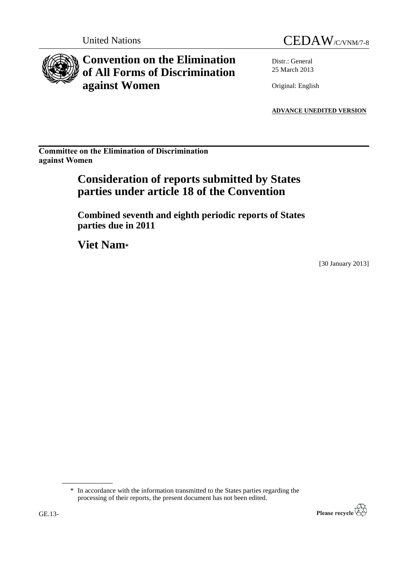# **Convention on the Elimination of All Forms of Discrimination against Women**

United Nations CEDAW/C/VNM/7-8

Distr.: General 25 March 2013

Original: English

**ADVANCE UNEDITED VERSION**

**Committee on the Elimination of Discrimination against Women**

# **Consideration of reports submitted by States parties under article 18 of the Convention**

**Combined seventh and eighth periodic reports of States parties due in 2011**

**Viet Nam\***

[30 January 2013]

<sup>\*</sup> In accordance with the information transmitted to the States parties regarding the processing of their reports, the present document has not been edited.

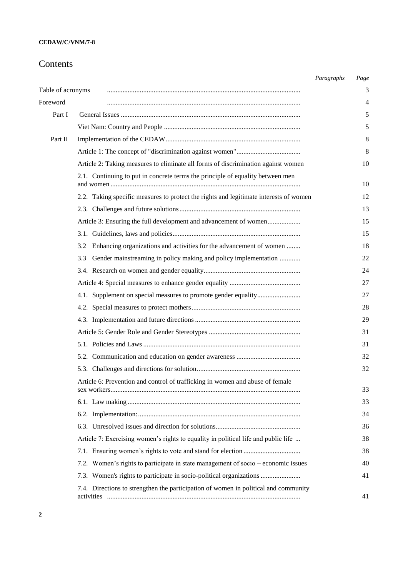## **Contents**

|                   |                                                                                       | Paragraphs | Page |
|-------------------|---------------------------------------------------------------------------------------|------------|------|
| Table of acronyms |                                                                                       |            | 3    |
| Foreword          |                                                                                       |            | 4    |
| Part I            |                                                                                       |            | 5    |
|                   |                                                                                       |            | 5    |
| Part II           |                                                                                       |            | 8    |
|                   |                                                                                       |            | 8    |
|                   | Article 2: Taking measures to eliminate all forms of discrimination against women     |            | 10   |
|                   | 2.1. Continuing to put in concrete terms the principle of equality between men        |            | 10   |
|                   | 2.2. Taking specific measures to protect the rights and legitimate interests of women |            | 12   |
|                   |                                                                                       |            | 13   |
|                   | Article 3: Ensuring the full development and advancement of women                     |            | 15   |
|                   |                                                                                       |            | 15   |
|                   | Enhancing organizations and activities for the advancement of women<br>3.2            |            | 18   |
|                   | Gender mainstreaming in policy making and policy implementation<br>3.3                |            | 22   |
|                   |                                                                                       |            | 24   |
|                   |                                                                                       |            | 27   |
|                   | 4.1. Supplement on special measures to promote gender equality                        |            | 27   |
|                   |                                                                                       |            | 28   |
|                   |                                                                                       |            | 29   |
|                   |                                                                                       |            | 31   |
|                   |                                                                                       |            | 31   |
|                   |                                                                                       |            | 32   |
|                   |                                                                                       |            | 32   |
|                   | Article 6: Prevention and control of trafficking in women and abuse of female         |            | 33   |
|                   |                                                                                       |            | 33   |
|                   |                                                                                       |            | 34   |
|                   |                                                                                       |            | 36   |
|                   | Article 7: Exercising women's rights to equality in political life and public life    |            | 38   |
|                   |                                                                                       |            | 38   |
|                   | 7.2. Women's rights to participate in state management of socio – economic issues     |            | 40   |
|                   | 7.3. Women's rights to participate in socio-political organizations                   |            | 41   |
|                   | 7.4. Directions to strengthen the participation of women in political and community   |            | 41   |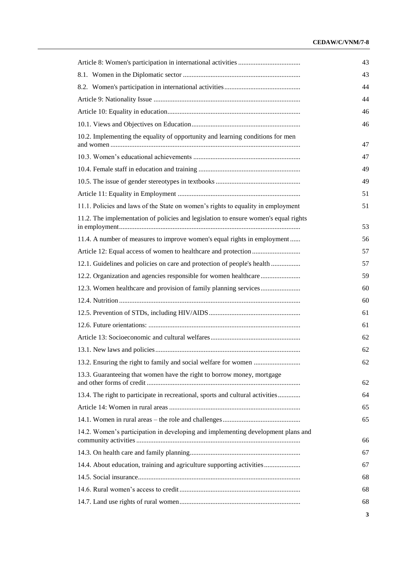## **CEDAW/C/VNM/7-8**

|                                                                                     | 43 |  |
|-------------------------------------------------------------------------------------|----|--|
|                                                                                     | 44 |  |
|                                                                                     | 44 |  |
|                                                                                     | 46 |  |
|                                                                                     | 46 |  |
| 10.2. Implementing the equality of opportunity and learning conditions for men      | 47 |  |
|                                                                                     | 47 |  |
|                                                                                     | 49 |  |
|                                                                                     | 49 |  |
|                                                                                     | 51 |  |
| 11.1. Policies and laws of the State on women's rights to equality in employment    | 51 |  |
| 11.2. The implementation of policies and legislation to ensure women's equal rights | 53 |  |
| 11.4. A number of measures to improve women's equal rights in employment            | 56 |  |
|                                                                                     | 57 |  |
| 12.1. Guidelines and policies on care and protection of people's health             | 57 |  |
| 12.2. Organization and agencies responsible for women healthcare                    | 59 |  |
|                                                                                     | 60 |  |
|                                                                                     | 60 |  |
|                                                                                     | 61 |  |
|                                                                                     | 61 |  |
|                                                                                     | 62 |  |
|                                                                                     | 62 |  |
|                                                                                     | 62 |  |
| 13.3. Guaranteeing that women have the right to borrow money, mortgage              | 62 |  |
| 13.4. The right to participate in recreational, sports and cultural activities      | 64 |  |
|                                                                                     | 65 |  |
|                                                                                     | 65 |  |
| 14.2. Women's participation in developing and implementing development plans and    | 66 |  |
|                                                                                     | 67 |  |
| 14.4. About education, training and agriculture supporting activities               | 67 |  |
|                                                                                     | 68 |  |
|                                                                                     | 68 |  |
|                                                                                     | 68 |  |
|                                                                                     | 3  |  |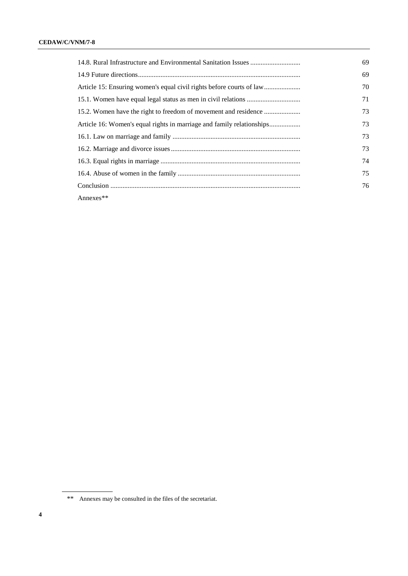|              | 69 |
|--------------|----|
|              | 70 |
|              | 71 |
|              | 73 |
|              | 73 |
|              | 73 |
|              | 73 |
|              | 74 |
|              | 75 |
|              | 76 |
| Annexes $**$ |    |

<sup>\*\*</sup> Annexes may be consulted in the files of the secretariat.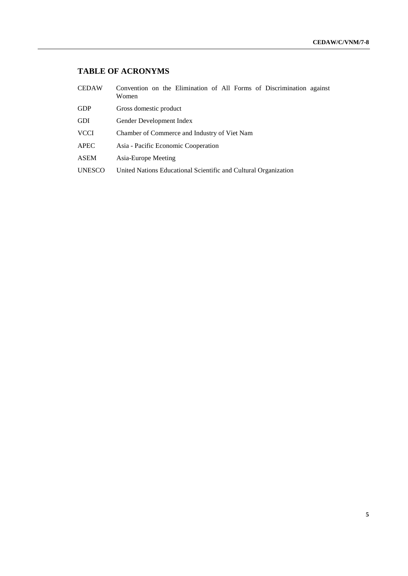## **TABLE OF ACRONYMS**

| <b>CEDAW</b>  | Convention on the Elimination of All Forms of Discrimination against<br>Women |  |  |  |  |
|---------------|-------------------------------------------------------------------------------|--|--|--|--|
| <b>GDP</b>    | Gross domestic product                                                        |  |  |  |  |
| <b>GDI</b>    | Gender Development Index                                                      |  |  |  |  |
| <b>VCCI</b>   | Chamber of Commerce and Industry of Viet Nam                                  |  |  |  |  |
| APEC          | Asia - Pacific Economic Cooperation                                           |  |  |  |  |
| <b>ASEM</b>   | Asia-Europe Meeting                                                           |  |  |  |  |
| <b>UNESCO</b> | United Nations Educational Scientific and Cultural Organization               |  |  |  |  |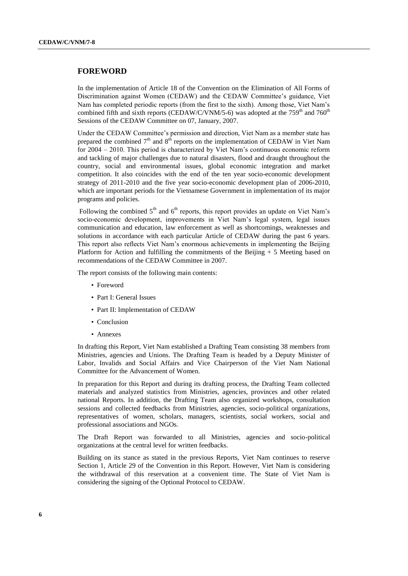## **FOREWORD**

In the implementation of Article 18 of the Convention on the Elimination of All Forms of Discrimination against Women (CEDAW) and the CEDAW Committee's guidance, Viet Nam has completed periodic reports (from the first to the sixth). Among those, Viet Nam's combined fifth and sixth reports (CEDAW/C/VNM/5-6) was adopted at the  $759<sup>th</sup>$  and  $760<sup>th</sup>$ Sessions of the CEDAW Committee on 07, January, 2007.

Under the CEDAW Committee's permission and direction, Viet Nam as a member state has prepared the combined  $7<sup>th</sup>$  and  $8<sup>th</sup>$  reports on the implementation of CEDAW in Viet Nam for 2004 – 2010. This period is characterized by Viet Nam's continuous economic reform and tackling of major challenges due to natural disasters, flood and draught throughout the country, social and environmental issues, global economic integration and market competition. It also coincides with the end of the ten year socio-economic development strategy of 2011-2010 and the five year socio-economic development plan of 2006-2010, which are important periods for the Vietnamese Government in implementation of its major programs and policies.

Following the combined  $5<sup>th</sup>$  and  $6<sup>th</sup>$  reports, this report provides an update on Viet Nam's socio-economic development, improvements in Viet Nam's legal system, legal issues communication and education, law enforcement as well as shortcomings, weaknesses and solutions in accordance with each particular Article of CEDAW during the past 6 years. This report also reflects Viet Nam's enormous achievements in implementing the Beijing Platform for Action and fulfilling the commitments of the Beijing  $+ 5$  Meeting based on recommendations of the CEDAW Committee in 2007.

The report consists of the following main contents:

- Foreword
- Part I: General Issues
- Part II: Implementation of CEDAW
- Conclusion
- Annexes

In drafting this Report, Viet Nam established a Drafting Team consisting 38 members from Ministries, agencies and Unions. The Drafting Team is headed by a Deputy Minister of Labor, Invalids and Social Affairs and Vice Chairperson of the Viet Nam National Committee for the Advancement of Women.

In preparation for this Report and during its drafting process, the Drafting Team collected materials and analyzed statistics from Ministries, agencies, provinces and other related national Reports. In addition, the Drafting Team also organized workshops, consultation sessions and collected feedbacks from Ministries, agencies, socio-political organizations, representatives of women, scholars, managers, scientists, social workers, social and professional associations and NGOs.

The Draft Report was forwarded to all Ministries, agencies and socio-political organizations at the central level for written feedbacks.

Building on its stance as stated in the previous Reports, Viet Nam continues to reserve Section 1, Article 29 of the Convention in this Report. However, Viet Nam is considering the withdrawal of this reservation at a convenient time. The State of Viet Nam is considering the signing of the Optional Protocol to CEDAW.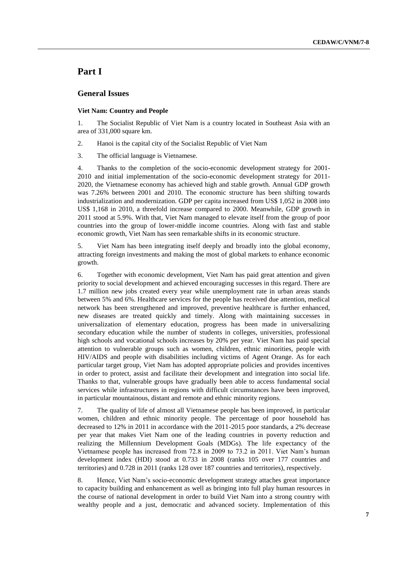## **Part I**

## **General Issues**

#### **Viet Nam: Country and People**

1. The Socialist Republic of Viet Nam is a country located in Southeast Asia with an area of 331,000 square km.

2. Hanoi is the capital city of the Socialist Republic of Viet Nam

3. The official language is Vietnamese.

4. Thanks to the completion of the socio-economic development strategy for 2001- 2010 and initial implementation of the socio-economic development strategy for 2011- 2020, the Vietnamese economy has achieved high and stable growth. Annual GDP growth was 7.26% between 2001 and 2010. The economic structure has been shifting towards industrialization and modernization. GDP per capita increased from US\$ 1,052 in 2008 into US\$ 1,168 in 2010, a threefold increase compared to 2000. Meanwhile, GDP growth in 2011 stood at 5.9%. With that, Viet Nam managed to elevate itself from the group of poor countries into the group of lower-middle income countries. Along with fast and stable economic growth, Viet Nam has seen remarkable shifts in its economic structure.

5. Viet Nam has been integrating itself deeply and broadly into the global economy, attracting foreign investments and making the most of global markets to enhance economic growth.

6. Together with economic development, Viet Nam has paid great attention and given priority to social development and achieved encouraging successes in this regard. There are 1.7 million new jobs created every year while unemployment rate in urban areas stands between 5% and 6%. Healthcare services for the people has received due attention, medical network has been strengthened and improved, preventive healthcare is further enhanced, new diseases are treated quickly and timely. Along with maintaining successes in universalization of elementary education, progress has been made in universalizing secondary education while the number of students in colleges, universities, professional high schools and vocational schools increases by 20% per year. Viet Nam has paid special attention to vulnerable groups such as women, children, ethnic minorities, people with HIV/AIDS and people with disabilities including victims of Agent Orange. As for each particular target group, Viet Nam has adopted appropriate policies and provides incentives in order to protect, assist and facilitate their development and integration into social life. Thanks to that, vulnerable groups have gradually been able to access fundamental social services while infrastructures in regions with difficult circumstances have been improved, in particular mountainous, distant and remote and ethnic minority regions.

7. The quality of life of almost all Vietnamese people has been improved, in particular women, children and ethnic minority people. The percentage of poor household has decreased to 12% in 2011 in accordance with the 2011-2015 poor standards, a 2% decrease per year that makes Viet Nam one of the leading countries in poverty reduction and realizing the Millennium Development Goals (MDGs). The life expectancy of the Vietnamese people has increased from 72.8 in 2009 to 73.2 in 2011. Viet Nam's human development index (HDI) stood at 0.733 in 2008 (ranks 105 over 177 countries and territories) and 0.728 in 2011 (ranks 128 over 187 countries and territories), respectively.

8. Hence, Viet Nam's socio-economic development strategy attaches great importance to capacity building and enhancement as well as bringing into full play human resources in the course of national development in order to build Viet Nam into a strong country with wealthy people and a just, democratic and advanced society. Implementation of this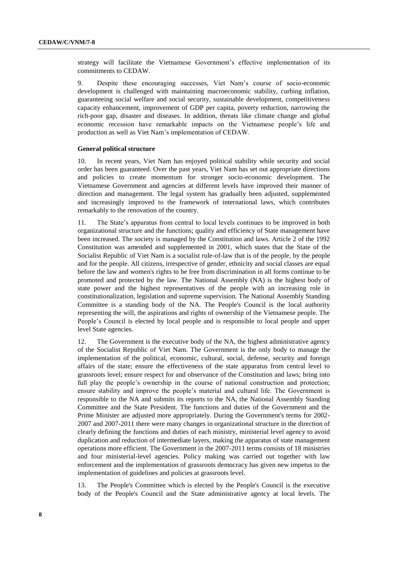strategy will facilitate the Vietnamese Government's effective implementation of its commitments to CEDAW.

9. Despite these encouraging successes, Viet Nam's course of socio-economic development is challenged with maintaining macroeconomic stability, curbing inflation, guaranteeing social welfare and social security, sustainable development, competitiveness capacity enhancement, improvement of GDP per capita, poverty reduction, narrowing the rich-poor gap, disaster and diseases. In addition, threats like climate change and global economic recession have remarkable impacts on the Vietnamese people's life and production as well as Viet Nam's implementation of CEDAW.

#### **General political structure**

10. In recent years, Viet Nam has enjoyed political stability while security and social order has been guaranteed. Over the past years, Viet Nam has set out appropriate directions and policies to create momentum for stronger socio-economic development. The Vietnamese Government and agencies at different levels have improved their manner of direction and management. The legal system has gradually been adjusted, supplemented and increasingly improved to the framework of international laws, which contributes remarkably to the renovation of the country.

11. The State's apparatus from central to local levels continues to be improved in both organizational structure and the functions; quality and efficiency of State management have been increased. The society is managed by the Constitution and laws. Article 2 of the 1992 Constitution was amended and supplemented in 2001, which states that the State of the Socialist Republic of Viet Nam is a socialist rule-of-law that is of the people, by the people and for the people. All citizens, irrespective of gender, ethnicity and social classes are equal before the law and women's rights to be free from discrimination in all forms continue to be promoted and protected by the law. The National Assembly (NA) is the highest body of state power and the highest representatives of the people with an increasing role in constitutionalization, legislation and supreme supervision. The National Assembly Standing Committee is a standing body of the NA. The People's Council is the local authority representing the will, the aspirations and rights of ownership of the Vietnamese people. The People's Council is elected by local people and is responsible to local people and upper level State agencies.

12. The Government is the executive body of the NA, the highest administrative agency of the Socialist Republic of Viet Nam. The Government is the only body to manage the implementation of the political, economic, cultural, social, defense, security and foreign affairs of the state; ensure the effectiveness of the state apparatus from central level to grassroots level; ensure respect for and observance of the Constitution and laws; bring into full play the people's ownership in the course of national construction and protection; ensure stability and improve the people's material and cultural life. The Government is responsible to the NA and submits its reports to the NA, the National Assembly Standing Committee and the State President. The functions and duties of the Government and the Prime Minister are adjusted more appropriately. During the Government's terms for 2002- 2007 and 2007-2011 there were many changes in organizational structure in the direction of clearly defining the functions and duties of each ministry, ministerial level agency to avoid duplication and reduction of intermediate layers, making the apparatus of state management operations more efficient. The Government in the 2007-2011 terms consists of 18 ministries and four ministerial-level agencies. Policy making was carried out together with law enforcement and the implementation of grassroots democracy has given new impetus to the implementation of guidelines and policies at grassroots level.

13. The People's Committee which is elected by the People's Council is the executive body of the People's Council and the State administrative agency at local levels. The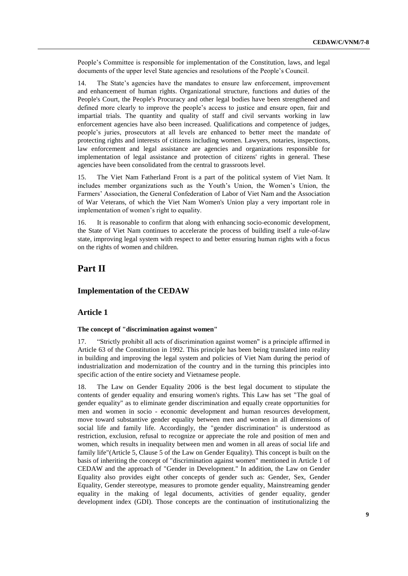People's Committee is responsible for implementation of the Constitution, laws, and legal documents of the upper level State agencies and resolutions of the People's Council.

14. The State's agencies have the mandates to ensure law enforcement, improvement and enhancement of human rights. Organizational structure, functions and duties of the People's Court, the People's Procuracy and other legal bodies have been strengthened and defined more clearly to improve the people's access to justice and ensure open, fair and impartial trials. The quantity and quality of staff and civil servants working in law enforcement agencies have also been increased. Qualifications and competence of judges, people's juries, prosecutors at all levels are enhanced to better meet the mandate of protecting rights and interests of citizens including women. Lawyers, notaries, inspections, law enforcement and legal assistance are agencies and organizations responsible for implementation of legal assistance and protection of citizens' rights in general. These agencies have been consolidated from the central to grassroots level.

15. The Viet Nam Fatherland Front is a part of the political system of Viet Nam. It includes member organizations such as the Youth's Union, the Women's Union, the Farmers' Association, the General Confederation of Labor of Viet Nam and the Association of War Veterans, of which the Viet Nam Women's Union play a very important role in implementation of women's right to equality.

16. It is reasonable to confirm that along with enhancing socio-economic development, the State of Viet Nam continues to accelerate the process of building itself a rule-of-law state, improving legal system with respect to and better ensuring human rights with a focus on the rights of women and children.

## **Part II**

## **Implementation of the CEDAW**

## **Article 1**

## **The concept of "discrimination against women"**

17. "Strictly prohibit all acts of discrimination against women" is a principle affirmed in Article 63 of the Constitution in 1992. This principle has been being translated into reality in building and improving the legal system and policies of Viet Nam during the period of industrialization and modernization of the country and in the turning this principles into specific action of the entire society and Vietnamese people.

18. The Law on Gender Equality 2006 is the best legal document to stipulate the contents of gender equality and ensuring women's rights. This Law has set "The goal of gender equality" as to eliminate gender discrimination and equally create opportunities for men and women in socio - economic development and human resources development, move toward substantive gender equality between men and women in all dimensions of social life and family life. Accordingly, the "gender discrimination" is understood as restriction, exclusion, refusal to recognize or appreciate the role and position of men and women, which results in inequality between men and women in all areas of social life and family life"(Article 5, Clause 5 of the Law on Gender Equality). This concept is built on the basis of inheriting the concept of "discrimination against women" mentioned in Article 1 of CEDAW and the approach of "Gender in Development." In addition, the Law on Gender Equality also provides eight other concepts of gender such as: Gender, Sex, Gender Equality, Gender stereotype, measures to promote gender equality, Mainstreaming gender equality in the making of legal documents, activities of gender equality, gender development index (GDI). Those concepts are the continuation of institutionalizing the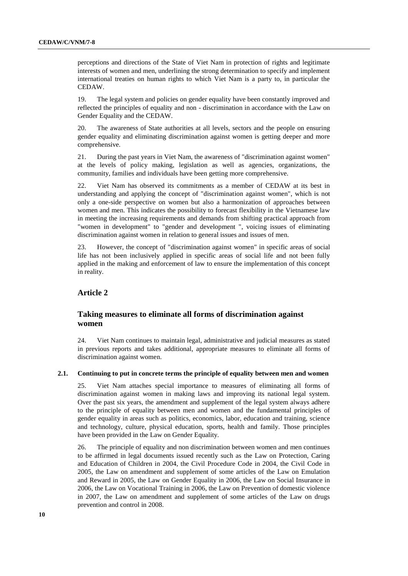perceptions and directions of the State of Viet Nam in protection of rights and legitimate interests of women and men, underlining the strong determination to specify and implement international treaties on human rights to which Viet Nam is a party to, in particular the CEDAW.

19. The legal system and policies on gender equality have been constantly improved and reflected the principles of equality and non - discrimination in accordance with the Law on Gender Equality and the CEDAW.

20. The awareness of State authorities at all levels, sectors and the people on ensuring gender equality and eliminating discrimination against women is getting deeper and more comprehensive.

21. During the past years in Viet Nam, the awareness of "discrimination against women" at the levels of policy making, legislation as well as agencies, organizations, the community, families and individuals have been getting more comprehensive.

22. Viet Nam has observed its commitments as a member of CEDAW at its best in understanding and applying the concept of "discrimination against women", which is not only a one-side perspective on women but also a harmonization of approaches between women and men. This indicates the possibility to forecast flexibility in the Vietnamese law in meeting the increasing requirements and demands from shifting practical approach from "women in development" to "gender and development ", voicing issues of eliminating discrimination against women in relation to general issues and issues of men.

23. However, the concept of "discrimination against women" in specific areas of social life has not been inclusively applied in specific areas of social life and not been fully applied in the making and enforcement of law to ensure the implementation of this concept in reality.

## **Article 2**

## **Taking measures to eliminate all forms of discrimination against women**

24. Viet Nam continues to maintain legal, administrative and judicial measures as stated in previous reports and takes additional, appropriate measures to eliminate all forms of discrimination against women.

#### **2.1. Continuing to put in concrete terms the principle of equality between men and women**

25. Viet Nam attaches special importance to measures of eliminating all forms of discrimination against women in making laws and improving its national legal system. Over the past six years, the amendment and supplement of the legal system always adhere to the principle of equality between men and women and the fundamental principles of gender equality in areas such as politics, economics, labor, education and training, science and technology, culture, physical education, sports, health and family. Those principles have been provided in the Law on Gender Equality.

26. The principle of equality and non discrimination between women and men continues to be affirmed in legal documents issued recently such as the Law on Protection, Caring and Education of Children in 2004, the Civil Procedure Code in 2004, the Civil Code in 2005, the Law on amendment and supplement of some articles of the Law on Emulation and Reward in 2005, the Law on Gender Equality in 2006, the Law on Social Insurance in 2006, the Law on Vocational Training in 2006, the Law on Prevention of domestic violence in 2007, the Law on amendment and supplement of some articles of the Law on drugs prevention and control in 2008.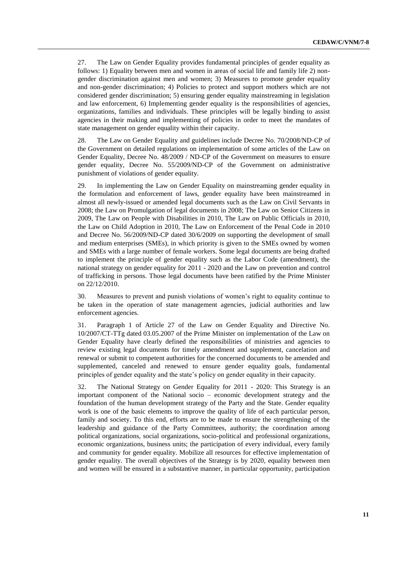27. The Law on Gender Equality provides fundamental principles of gender equality as follows: 1) Equality between men and women in areas of social life and family life 2) nongender discrimination against men and women; 3) Measures to promote gender equality and non-gender discrimination; 4) Policies to protect and support mothers which are not considered gender discrimination; 5) ensuring gender equality mainstreaming in legislation and law enforcement, 6) Implementing gender equality is the responsibilities of agencies, organizations, families and individuals. These principles will be legally binding to assist agencies in their making and implementing of policies in order to meet the mandates of state management on gender equality within their capacity.

28. The Law on Gender Equality and guidelines include Decree No. 70/2008/ND-CP of the Government on detailed regulations on implementation of some articles of the Law on Gender Equality, Decree No. 48/2009 / ND-CP of the Government on measures to ensure gender equality, Decree No. 55/2009/ND-CP of the Government on administrative punishment of violations of gender equality.

29. In implementing the Law on Gender Equality on mainstreaming gender equality in the formulation and enforcement of laws, gender equality have been mainstreamed in almost all newly-issued or amended legal documents such as the Law on Civil Servants in 2008; the Law on Promulgation of legal documents in 2008; The Law on Senior Citizens in 2009, The Law on People with Disabilities in 2010, The Law on Public Officials in 2010, the Law on Child Adoption in 2010, The Law on Enforcement of the Penal Code in 2010 and Decree No. 56/2009/ND-CP dated 30/6/2009 on supporting the development of small and medium enterprises (SMEs), in which priority is given to the SMEs owned by women and SMEs with a large number of female workers. Some legal documents are being drafted to implement the principle of gender equality such as the Labor Code (amendment), the national strategy on gender equality for 2011 - 2020 and the Law on prevention and control of trafficking in persons. Those legal documents have been ratified by the Prime Minister on 22/12/2010.

30. Measures to prevent and punish violations of women's right to equality continue to be taken in the operation of state management agencies, judicial authorities and law enforcement agencies.

31. Paragraph 1 of Article 27 of the Law on Gender Equality and Directive No. 10/2007/CT-TTg dated 03.05.2007 of the Prime Minister on implementation of the Law on Gender Equality have clearly defined the responsibilities of ministries and agencies to review existing legal documents for timely amendment and supplement, cancelation and renewal or submit to competent authorities for the concerned documents to be amended and supplemented, canceled and renewed to ensure gender equality goals, fundamental principles of gender equality and the state's policy on gender equality in their capacity.

32. The National Strategy on Gender Equality for 2011 - 2020: This Strategy is an important component of the National socio – economic development strategy and the foundation of the human development strategy of the Party and the State. Gender equality work is one of the basic elements to improve the quality of life of each particular person, family and society. To this end, efforts are to be made to ensure the strengthening of the leadership and guidance of the Party Committees, authority; the coordination among political organizations, social organizations, socio-political and professional organizations, economic organizations, business units; the participation of every individual, every family and community for gender equality. Mobilize all resources for effective implementation of gender equality. The overall objectives of the Strategy is by 2020, equality between men and women will be ensured in a substantive manner, in particular opportunity, participation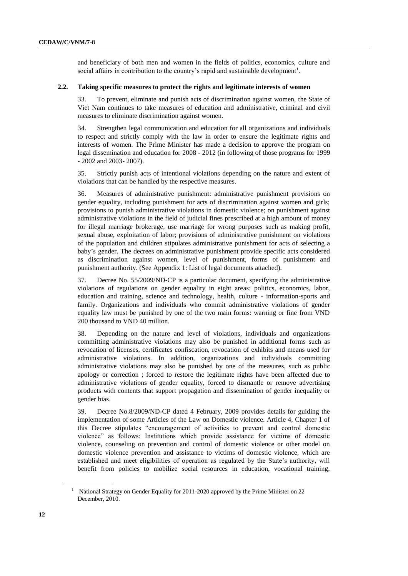and beneficiary of both men and women in the fields of politics, economics, culture and social affairs in contribution to the country's rapid and sustainable development<sup>1</sup>.

## **2.2. Taking specific measures to protect the rights and legitimate interests of women**

33. To prevent, eliminate and punish acts of discrimination against women, the State of Viet Nam continues to take measures of education and administrative, criminal and civil measures to eliminate discrimination against women.

34. Strengthen legal communication and education for all organizations and individuals to respect and strictly comply with the law in order to ensure the legitimate rights and interests of women. The Prime Minister has made a decision to approve the program on legal dissemination and education for 2008 - 2012 (in following of those programs for 1999 - 2002 and 2003- 2007).

35. Strictly punish acts of intentional violations depending on the nature and extent of violations that can be handled by the respective measures.

36. Measures of administrative punishment: administrative punishment provisions on gender equality, including punishment for acts of discrimination against women and girls; provisions to punish administrative violations in domestic violence; on punishment against administrative violations in the field of judicial fines prescribed at a high amount of money for illegal marriage brokerage, use marriage for wrong purposes such as making profit, sexual abuse, exploitation of labor; provisions of administrative punishment on violations of the population and children stipulates administrative punishment for acts of selecting a baby's gender. The decrees on administrative punishment provide specific acts considered as discrimination against women, level of punishment, forms of punishment and punishment authority. (See Appendix 1: List of legal documents attached).

37. Decree No. 55/2009/ND-CP is a particular document, specifying the administrative violations of regulations on gender equality in eight areas: politics, economics, labor, education and training, science and technology, health, culture - information-sports and family. Organizations and individuals who commit administrative violations of gender equality law must be punished by one of the two main forms: warning or fine from VND 200 thousand to VND 40 million.

38. Depending on the nature and level of violations, individuals and organizations committing administrative violations may also be punished in additional forms such as revocation of licenses, certificates confiscation, revocation of exhibits and means used for administrative violations. In addition, organizations and individuals committing administrative violations may also be punished by one of the measures, such as public apology or correction ; forced to restore the legitimate rights have been affected due to administrative violations of gender equality, forced to dismantle or remove advertising products with contents that support propagation and dissemination of gender inequality or gender bias.

39. Decree No.8/2009/ND-CP dated 4 February, 2009 provides details for guiding the implementation of some Articles of the Law on Domestic violence. Article 4, Chapter 1 of this Decree stipulates "encouragement of activities to prevent and control domestic violence" as follows: Institutions which provide assistance for victims of domestic violence, counseling on prevention and control of domestic violence or other model on domestic violence prevention and assistance to victims of domestic violence, which are established and meet eligibilities of operation as regulated by the State's authority, will benefit from policies to mobilize social resources in education, vocational training,

<sup>1</sup> National Strategy on Gender Equality for 2011-2020 approved by the Prime Minister on 22 December, 2010.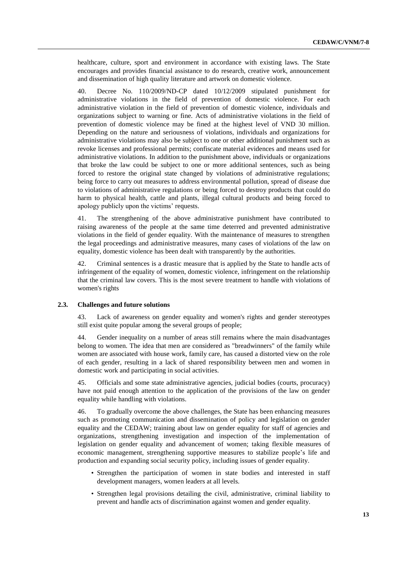healthcare, culture, sport and environment in accordance with existing laws. The State encourages and provides financial assistance to do research, creative work, announcement and dissemination of high quality literature and artwork on domestic violence.

40. Decree No. 110/2009/ND-CP dated 10/12/2009 stipulated punishment for administrative violations in the field of prevention of domestic violence. For each administrative violation in the field of prevention of domestic violence, individuals and organizations subject to warning or fine. Acts of administrative violations in the field of prevention of domestic violence may be fined at the highest level of VND 30 million. Depending on the nature and seriousness of violations, individuals and organizations for administrative violations may also be subject to one or other additional punishment such as revoke licenses and professional permits; confiscate material evidences and means used for administrative violations. In addition to the punishment above, individuals or organizations that broke the law could be subject to one or more additional sentences, such as being forced to restore the original state changed by violations of administrative regulations; being force to carry out measures to address environmental pollution, spread of disease due to violations of administrative regulations or being forced to destroy products that could do harm to physical health, cattle and plants, illegal cultural products and being forced to apology publicly upon the victims' requests.

41. The strengthening of the above administrative punishment have contributed to raising awareness of the people at the same time deterred and prevented administrative violations in the field of gender equality. With the maintenance of measures to strengthen the legal proceedings and administrative measures, many cases of violations of the law on equality, domestic violence has been dealt with transparently by the authorities.

42. Criminal sentences is a drastic measure that is applied by the State to handle acts of infringement of the equality of women, domestic violence, infringement on the relationship that the criminal law covers. This is the most severe treatment to handle with violations of women's rights

#### **2.3. Challenges and future solutions**

43. Lack of awareness on gender equality and women's rights and gender stereotypes still exist quite popular among the several groups of people;

44. Gender inequality on a number of areas still remains where the main disadvantages belong to women. The idea that men are considered as "breadwinners" of the family while women are associated with house work, family care, has caused a distorted view on the role of each gender, resulting in a lack of shared responsibility between men and women in domestic work and participating in social activities.

45. Officials and some state administrative agencies, judicial bodies (courts, procuracy) have not paid enough attention to the application of the provisions of the law on gender equality while handling with violations.

46. To gradually overcome the above challenges, the State has been enhancing measures such as promoting communication and dissemination of policy and legislation on gender equality and the CEDAW; training about law on gender equality for staff of agencies and organizations, strengthening investigation and inspection of the implementation of legislation on gender equality and advancement of women; taking flexible measures of economic management, strengthening supportive measures to stabilize people's life and production and expanding social security policy, including issues of gender equality.

- Strengthen the participation of women in state bodies and interested in staff development managers, women leaders at all levels.
- Strengthen legal provisions detailing the civil, administrative, criminal liability to prevent and handle acts of discrimination against women and gender equality.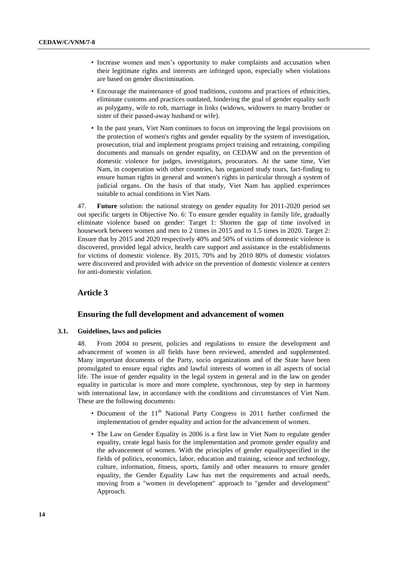- Increase women and men's opportunity to make complaints and accusation when their legitimate rights and interests are infringed upon, especially when violations are based on gender discrimination.
- Encourage the maintenance of good traditions, customs and practices of ethnicities, eliminate customs and practices outdated, hindering the goal of gender equality such as polygamy, wife to rob, marriage in links (widows, widowers to marry brother or sister of their passed-away husband or wife).
- In the past years, Viet Nam continues to focus on improving the legal provisions on the protection of women's rights and gender equality by the system of investigation, prosecution, trial and implement programs project training and retraining, compiling documents and manuals on gender equality, on CEDAW and on the prevention of domestic violence for judges, investigators, procurators. At the same time, Viet Nam, in cooperation with other countries, has organized study tours, fact-finding to ensure human rights in general and women's rights in particular through a system of judicial organs. On the basis of that study, Viet Nam has applied experiences suitable to actual conditions in Viet Nam.

47. **Future** solution: the national strategy on gender equality for 2011-2020 period set out specific targets in Objective No. 6: To ensure gender equality in family life, gradually eliminate violence based on gender: Target 1: Shorten the gap of time involved in housework between women and men to 2 times in 2015 and to 1.5 times in 2020. Target 2: Ensure that by 2015 and 2020 respectively 40% and 50% of victims of domestic violence is discovered, provided legal advice, health care support and assistance in the establishments for victims of domestic violence. By 2015, 70% and by 2010 80% of domestic violators were discovered and provided with advice on the prevention of domestic violence at centers for anti-domestic violation.

## **Article 3**

#### **Ensuring the full development and advancement of women**

#### **3.1. Guidelines, laws and policies**

48. From 2004 to present, policies and regulations to ensure the development and advancement of women in all fields have been reviewed, amended and supplemented. Many important documents of the Party, socio organizations and of the State have been promulgated to ensure equal rights and lawful interests of women in all aspects of social life. The issue of gender equality in the legal system in general and in the law on gender equality in particular is more and more complete, synchronous, step by step in harmony with international law, in accordance with the conditions and circumstances of Viet Nam. These are the following documents:

- Document of the  $11<sup>th</sup>$  National Party Congress in 2011 further confirmed the implementation of gender equality and action for the advancement of women.
- The Law on Gender Equality in 2006 is a first law in Viet Nam to regulate gender equality, create legal basis for the implementation and promote gender equality and the advancement of women. With the principles of gender equalityspecified in the fields of politics, economics, labor, education and training, science and technology, culture, information, fitness, sports, family and other measures to ensure gender equality, the Gender Equality Law has met the requirements and actual needs, moving from a "women in development" approach to "gender and development" Approach.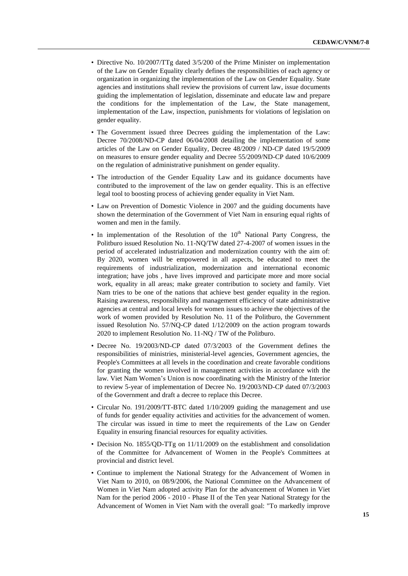- Directive No. 10/2007/TTg dated 3/5/200 of the Prime Minister on implementation of the Law on Gender Equality clearly defines the responsibilities of each agency or organization in organizing the implementation of the Law on Gender Equality. State agencies and institutions shall review the provisions of current law, issue documents guiding the implementation of legislation, disseminate and educate law and prepare the conditions for the implementation of the Law, the State management, implementation of the Law, inspection, punishments for violations of legislation on gender equality.
- The Government issued three Decrees guiding the implementation of the Law: Decree 70/2008/ND-CP dated 06/04/2008 detailing the implementation of some articles of the Law on Gender Equality, Decree 48/2009 / ND-CP dated 19/5/2009 on measures to ensure gender equality and Decree 55/2009/ND-CP dated 10/6/2009 on the regulation of administrative punishment on gender equality.
- The introduction of the Gender Equality Law and its guidance documents have contributed to the improvement of the law on gender equality. This is an effective legal tool to boosting process of achieving gender equality in Viet Nam.
- Law on Prevention of Domestic Violence in 2007 and the guiding documents have shown the determination of the Government of Viet Nam in ensuring equal rights of women and men in the family.
- In implementation of the Resolution of the  $10<sup>th</sup>$  National Party Congress, the Politburo issued Resolution No. 11-NQ/TW dated 27-4-2007 of women issues in the period of accelerated industrialization and modernization country with the aim of: By 2020, women will be empowered in all aspects, be educated to meet the requirements of industrialization, modernization and international economic integration; have jobs , have lives improved and participate more and more social work, equality in all areas; make greater contribution to society and family. Viet Nam tries to be one of the nations that achieve best gender equality in the region. Raising awareness, responsibility and management efficiency of state administrative agencies at central and local levels for women issues to achieve the objectives of the work of women provided by Resolution No. 11 of the Politburo, the Government issued Resolution No. 57/NQ-CP dated 1/12/2009 on the action program towards 2020 to implement Resolution No. 11-NQ / TW of the Politburo.
- Decree No. 19/2003/ND-CP dated 07/3/2003 of the Government defines the responsibilities of ministries, ministerial-level agencies, Government agencies, the People's Committees at all levels in the coordination and create favorable conditions for granting the women involved in management activities in accordance with the law. Viet Nam Women's Union is now coordinating with the Ministry of the Interior to review 5-year of implementation of Decree No. 19/2003/ND-CP dated 07/3/2003 of the Government and draft a decree to replace this Decree.
- Circular No. 191/2009/TT-BTC dated 1/10/2009 guiding the management and use of funds for gender equality activities and activities for the advancement of women. The circular was issued in time to meet the requirements of the Law on Gender Equality in ensuring financial resources for equality activities.
- Decision No. 1855/QD-TTg on 11/11/2009 on the establishment and consolidation of the Committee for Advancement of Women in the People's Committees at provincial and district level.
- Continue to implement the National Strategy for the Advancement of Women in Viet Nam to 2010, on 08/9/2006, the National Committee on the Advancement of Women in Viet Nam adopted activity Plan for the advancement of Women in Viet Nam for the period 2006 - 2010 - Phase II of the Ten year National Strategy for the Advancement of Women in Viet Nam with the overall goal: "To markedly improve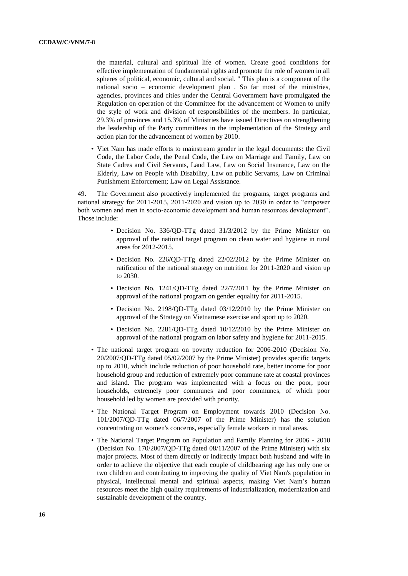the material, cultural and spiritual life of women. Create good conditions for effective implementation of fundamental rights and promote the role of women in all spheres of political, economic, cultural and social. " This plan is a component of the national socio – economic development plan . So far most of the ministries, agencies, provinces and cities under the Central Government have promulgated the Regulation on operation of the Committee for the advancement of Women to unify the style of work and division of responsibilities of the members. In particular, 29.3% of provinces and 15.3% of Ministries have issued Directives on strengthening the leadership of the Party committees in the implementation of the Strategy and action plan for the advancement of women by 2010.

• Viet Nam has made efforts to mainstream gender in the legal documents: the Civil Code, the Labor Code, the Penal Code, the Law on Marriage and Family, Law on State Cadres and Civil Servants, Land Law, Law on Social Insurance, Law on the Elderly, Law on People with Disability, Law on public Servants, Law on Criminal Punishment Enforcement; Law on Legal Assistance.

49. The Government also proactively implemented the programs, target programs and national strategy for 2011-2015, 2011-2020 and vision up to 2030 in order to "empower both women and men in socio-economic development and human resources development". Those include:

- Decision No. 336/QD-TTg dated 31/3/2012 by the Prime Minister on approval of the national target program on clean water and hygiene in rural areas for 2012-2015.
- Decision No. 226/QD-TTg dated 22/02/2012 by the Prime Minister on ratification of the national strategy on nutrition for 2011-2020 and vision up to 2030.
- Decision No. 1241/QD-TTg dated 22/7/2011 by the Prime Minister on approval of the national program on gender equality for 2011-2015.
- Decision No. 2198/QD-TTg dated 03/12/2010 by the Prime Minister on approval of the Strategy on Vietnamese exercise and sport up to 2020.
- Decision No. 2281/QD-TTg dated 10/12/2010 by the Prime Minister on approval of the national program on labor safety and hygiene for 2011-2015.
- The national target program on poverty reduction for 2006-2010 (Decision No. 20/2007/QD-TTg dated 05/02/2007 by the Prime Minister) provides specific targets up to 2010, which include reduction of poor household rate, better income for poor household group and reduction of extremely poor commune rate at coastal provinces and island. The program was implemented with a focus on the poor, poor households, extremely poor communes and poor communes, of which poor household led by women are provided with priority.
- The National Target Program on Employment towards 2010 (Decision No. 101/2007/QD-TTg dated 06/7/2007 of the Prime Minister) has the solution concentrating on women's concerns, especially female workers in rural areas.
- The National Target Program on Population and Family Planning for 2006 2010 (Decision No. 170/2007/QD-TTg dated 08/11/2007 of the Prime Minister) with six major projects. Most of them directly or indirectly impact both husband and wife in order to achieve the objective that each couple of childbearing age has only one or two children and contributing to improving the quality of Viet Nam's population in physical, intellectual mental and spiritual aspects, making Viet Nam's human resources meet the high quality requirements of industrialization, modernization and sustainable development of the country.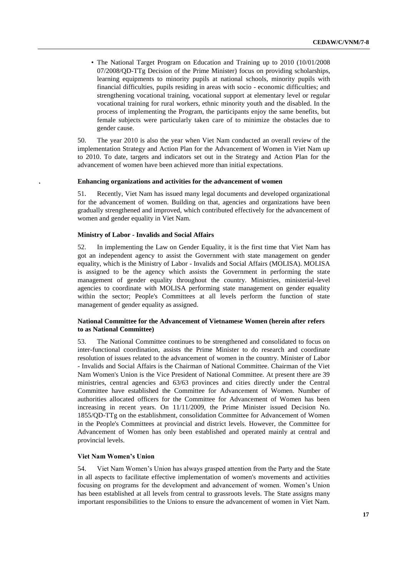• The National Target Program on Education and Training up to 2010 (10/01/2008 07/2008/QD-TTg Decision of the Prime Minister) focus on providing scholarships, learning equipments to minority pupils at national schools, minority pupils with financial difficulties, pupils residing in areas with socio - economic difficulties; and strengthening vocational training, vocational support at elementary level or regular vocational training for rural workers, ethnic minority youth and the disabled. In the process of implementing the Program, the participants enjoy the same benefits, but female subjects were particularly taken care of to minimize the obstacles due to gender cause.

50. The year 2010 is also the year when Viet Nam conducted an overall review of the implementation Strategy and Action Plan for the Advancement of Women in Viet Nam up to 2010. To date, targets and indicators set out in the Strategy and Action Plan for the advancement of women have been achieved more than initial expectations.

#### **. Enhancing organizations and activities for the advancement of women**

51. Recently, Viet Nam has issued many legal documents and developed organizational for the advancement of women. Building on that, agencies and organizations have been gradually strengthened and improved, which contributed effectively for the advancement of women and gender equality in Viet Nam.

#### **Ministry of Labor - Invalids and Social Affairs**

52. In implementing the Law on Gender Equality, it is the first time that Viet Nam has got an independent agency to assist the Government with state management on gender equality, which is the Ministry of Labor - Invalids and Social Affairs (MOLISA). MOLISA is assigned to be the agency which assists the Government in performing the state management of gender equality throughout the country. Ministries, ministerial-level agencies to coordinate with MOLISA performing state management on gender equality within the sector; People's Committees at all levels perform the function of state management of gender equality as assigned.

## **National Committee for the Advancement of Vietnamese Women (herein after refers to as National Committee)**

53. The National Committee continues to be strengthened and consolidated to focus on inter-functional coordination, assists the Prime Minister to do research and coordinate resolution of issues related to the advancement of women in the country. Minister of Labor - Invalids and Social Affairs is the Chairman of National Committee. Chairman of the Viet Nam Women's Union is the Vice President of National Committee. At present there are 39 ministries, central agencies and 63/63 provinces and cities directly under the Central Committee have established the Committee for Advancement of Women. Number of authorities allocated officers for the Committee for Advancement of Women has been increasing in recent years. On 11/11/2009, the Prime Minister issued Decision No. 1855/QD-TTg on the establishment, consolidation Committee for Advancement of Women in the People's Committees at provincial and district levels. However, the Committee for Advancement of Women has only been established and operated mainly at central and provincial levels.

#### **Viet Nam Women's Union**

54. Viet Nam Women's Union has always grasped attention from the Party and the State in all aspects to facilitate effective implementation of women's movements and activities focusing on programs for the development and advancement of women. Women's Union has been established at all levels from central to grassroots levels. The State assigns many important responsibilities to the Unions to ensure the advancement of women in Viet Nam.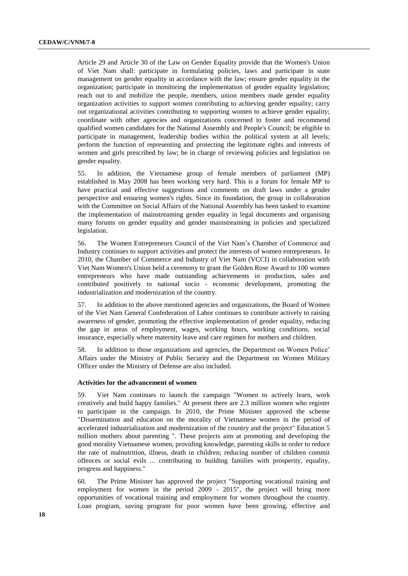Article 29 and Article 30 of the Law on Gender Equality provide that the Women's Union of Viet Nam shall: participate in formulating policies, laws and participate in state management on gender equality in accordance with the law; ensure gender equality in the organization; participate in monitoring the implementation of gender equality legislation; reach out to and mobilize the people, members, union members made gender equality organization activities to support women contributing to achieving gender equality; carry out organizational activities contributing to supporting women to achieve gender equality; coordinate with other agencies and organizations concerned to foster and recommend qualified women candidates for the National Assembly and People's Council; be eligible to participate in management, leadership bodies within the political system at all levels; perform the function of representing and protecting the legitimate rights and interests of women and girls prescribed by law; be in charge of reviewing policies and legislation on gender equality.

55. In addition, the Vietnamese group of female members of parliament (MP) established in May 2008 has been working very hard. This is a forum for female MP to have practical and effective suggestions and comments on draft laws under a gender perspective and ensuring women's rights. Since its foundation, the group in collaboration with the Committee on Social Affairs of the National Assembly has been tasked to examine the implementation of mainstreaming gender equality in legal documents and organising many forums on gender equality and gender mainstreaming in policies and specialized legislation.

56. The Women Entrepreneurs Council of the Viet Nam's Chamber of Commerce and Industry continues to support activities and protect the interests of women entrepreneurs. In 2010, the Chamber of Commerce and Industry of Viet Nam (VCCI) in collaboration with Viet Nam Women's Union held a ceremony to grant the Golden Rose Award to 100 women entrepreneurs who have made outstanding achievements in production, sales and contributed positively to national socio - economic development, promoting the industrialization and modernization of the country.

57. In addition to the above mentioned agencies and organizations, the Board of Women of the Viet Nam General Confederation of Labor continues to contribute actively to raising awareness of gender, promoting the effective implementation of gender equality, reducing the gap in areas of employment, wages, working hours, working conditions, social insurance, especially where maternity leave and care regimen for mothers and children.

58. In addition to those organizations and agencies, the Department on Women Police' Affairs under the Ministry of Public Security and the Department on Women Military Officer under the Ministry of Defense are also included.

#### **Activities for the advancement of women**

59. Viet Nam continues to launch the campaign "Women to actively learn, work creatively and build happy families." At present there are 2.3 million women who register to participate in the campaign. In 2010, the Prime Minister approved the scheme "Dissemination and education on the morality of Vietnamese women in the period of accelerated industrialization and modernization of the country and the project" Education 5 million mothers about parenting ". These projects aim at promoting and developing the good morality Vietnamese women, providing knowledge, parenting skills in order to reduce the rate of malnutrition, illness, death in children; reducing number of children commit offences or social evils ... contributing to building families with prosperity, equality, progress and happiness."

60. The Prime Minister has approved the project "Supporting vocational training and employment for women in the period 2009 - 2015", the project will bring more opportunities of vocational training and employment for women throughout the country. Loan program, saving program for poor women have been growing, effective and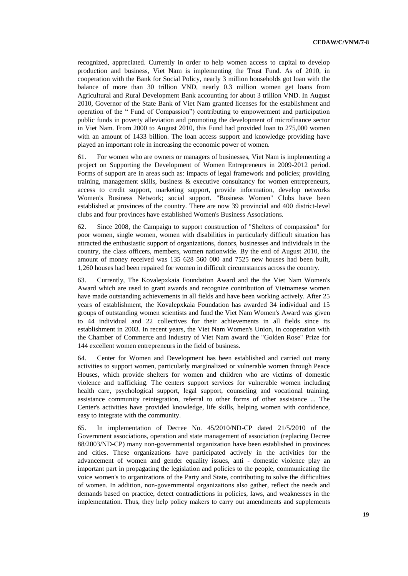recognized, appreciated. Currently in order to help women access to capital to develop production and business, Viet Nam is implementing the Trust Fund. As of 2010, in cooperation with the Bank for Social Policy, nearly 3 million households got loan with the balance of more than 30 trillion VND, nearly 0.3 million women get loans from Agricultural and Rural Development Bank accounting for about 3 trillion VND. In August 2010, Governor of the State Bank of Viet Nam granted licenses for the establishment and operation of the " Fund of Compassion") contributing to empowerment and participation public funds in poverty alleviation and promoting the development of microfinance sector in Viet Nam. From 2000 to August 2010, this Fund had provided loan to 275,000 women with an amount of 1433 billion. The loan access support and knowledge providing have played an important role in increasing the economic power of women.

61. For women who are owners or managers of businesses, Viet Nam is implementing a project on Supporting the Development of Women Entrepreneurs in 2009-2012 period. Forms of support are in areas such as: impacts of legal framework and policies; providing training, management skills, business & executive consultancy for women entrepreneurs, access to credit support, marketing support, provide information, develop networks Women's Business Network; social support. "Business Women" Clubs have been established at provinces of the country. There are now 39 provincial and 400 district-level clubs and four provinces have established Women's Business Associations.

62. Since 2008, the Campaign to support construction of "Shelters of compassion" for poor women, single women, women with disabilities in particularly difficult situation has attracted the enthusiastic support of organizations, donors, businesses and individuals in the country, the class officers, members, women nationwide. By the end of August 2010, the amount of money received was 135 628 560 000 and 7525 new houses had been built, 1,260 houses had been repaired for women in difficult circumstances across the country.

63. Currently, The Kovalepxkaia Foundation Award and the the Viet Nam Women's Award which are used to grant awards and recognize contribution of Vietnamese women have made outstanding achievements in all fields and have been working actively. After 25 years of establishment, the Kovalepxkaia Foundation has awarded 34 individual and 15 groups of outstanding women scientists and fund the Viet Nam Women's Award was given to 44 individual and 22 collectives for their achievements in all fields since its establishment in 2003. In recent years, the Viet Nam Women's Union, in cooperation with the Chamber of Commerce and Industry of Viet Nam award the "Golden Rose" Prize for 144 excellent women entrepreneurs in the field of business.

64. Center for Women and Development has been established and carried out many activities to support women, particularly marginalized or vulnerable women through Peace Houses, which provide shelters for women and children who are victims of domestic violence and trafficking. The centers support services for vulnerable women including health care, psychological support, legal support, counseling and vocational training, assistance community reintegration, referral to other forms of other assistance ... The Center's activities have provided knowledge, life skills, helping women with confidence, easy to integrate with the community.

65. In implementation of Decree No. 45/2010/ND-CP dated 21/5/2010 of the Government associations, operation and state management of association (replacing Decree 88/2003/ND-CP) many non-governmental organization have been established in provinces and cities. These organizations have participated actively in the activities for the advancement of women and gender equality issues, anti - domestic violence play an important part in propagating the legislation and policies to the people, communicating the voice women's to organizations of the Party and State, contributing to solve the difficulties of women. In addition, non-governmental organizations also gather, reflect the needs and demands based on practice, detect contradictions in policies, laws, and weaknesses in the implementation. Thus, they help policy makers to carry out amendments and supplements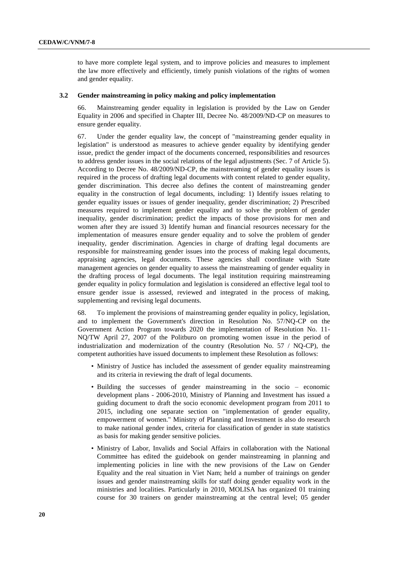to have more complete legal system, and to improve policies and measures to implement the law more effectively and efficiently, timely punish violations of the rights of women and gender equality.

#### **3.2 Gender mainstreaming in policy making and policy implementation**

66. Mainstreaming gender equality in legislation is provided by the Law on Gender Equality in 2006 and specified in Chapter III, Decree No. 48/2009/ND-CP on measures to ensure gender equality.

67. Under the gender equality law, the concept of "mainstreaming gender equality in legislation" is understood as measures to achieve gender equality by identifying gender issue, predict the gender impact of the documents concerned, responsibilities and resources to address gender issues in the social relations of the legal adjustments (Sec. 7 of Article 5). According to Decree No. 48/2009/ND-CP, the mainstreaming of gender equality issues is required in the process of drafting legal documents with content related to gender equality, gender discrimination. This decree also defines the content of mainstreaming gender equality in the construction of legal documents, including: 1) Identify issues relating to gender equality issues or issues of gender inequality, gender discrimination; 2) Prescribed measures required to implement gender equality and to solve the problem of gender inequality, gender discrimination; predict the impacts of those provisions for men and women after they are issued 3) Identify human and financial resources necessary for the implementation of measures ensure gender equality and to solve the problem of gender inequality, gender discrimination. Agencies in charge of drafting legal documents are responsible for mainstreaming gender issues into the process of making legal documents, appraising agencies, legal documents. These agencies shall coordinate with State management agencies on gender equality to assess the mainstreaming of gender equality in the drafting process of legal documents. The legal institution requiring mainstreaming gender equality in policy formulation and legislation is considered an effective legal tool to ensure gender issue is assessed, reviewed and integrated in the process of making, supplementing and revising legal documents.

68. To implement the provisions of mainstreaming gender equality in policy, legislation, and to implement the Government's direction in Resolution No. 57/NQ-CP on the Government Action Program towards 2020 the implementation of Resolution No. 11- NQ/TW April 27, 2007 of the Politburo on promoting women issue in the period of industrialization and modernization of the country (Resolution No. 57 / NQ-CP), the competent authorities have issued documents to implement these Resolution as follows:

- Ministry of Justice has included the assessment of gender equality mainstreaming and its criteria in reviewing the draft of legal documents.
- Building the successes of gender mainstreaming in the socio economic development plans - 2006-2010, Ministry of Planning and Investment has issued a guiding document to draft the socio economic development program from 2011 to 2015, including one separate section on "implementation of gender equality, empowerment of women." Ministry of Planning and Investment is also do research to make national gender index, criteria for classification of gender in state statistics as basis for making gender sensitive policies.
- Ministry of Labor, Invalids and Social Affairs in collaboration with the National Committee has edited the guidebook on gender mainstreaming in planning and implementing policies in line with the new provisions of the Law on Gender Equality and the real situation in Viet Nam; held a number of trainings on gender issues and gender mainstreaming skills for staff doing gender equality work in the ministries and localities. Particularly in 2010, MOLISA has organized 01 training course for 30 trainers on gender mainstreaming at the central level; 05 gender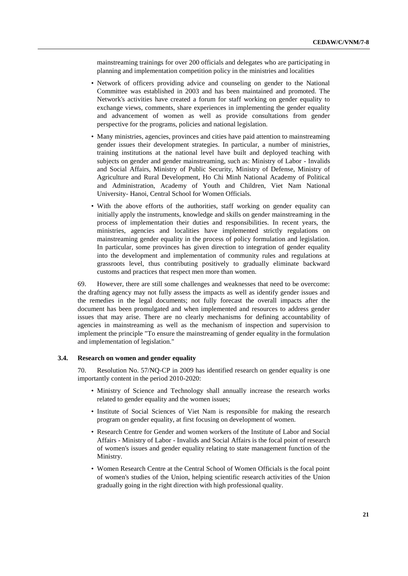mainstreaming trainings for over 200 officials and delegates who are participating in planning and implementation competition policy in the ministries and localities

- Network of officers providing advice and counseling on gender to the National Committee was established in 2003 and has been maintained and promoted. The Network's activities have created a forum for staff working on gender equality to exchange views, comments, share experiences in implementing the gender equality and advancement of women as well as provide consultations from gender perspective for the programs, policies and national legislation.
- Many ministries, agencies, provinces and cities have paid attention to mainstreaming gender issues their development strategies. In particular, a number of ministries, training institutions at the national level have built and deployed teaching with subjects on gender and gender mainstreaming, such as: Ministry of Labor - Invalids and Social Affairs, Ministry of Public Security, Ministry of Defense, Ministry of Agriculture and Rural Development, Ho Chi Minh National Academy of Political and Administration, Academy of Youth and Children, Viet Nam National University- Hanoi, Central School for Women Officials.
- With the above efforts of the authorities, staff working on gender equality can initially apply the instruments, knowledge and skills on gender mainstreaming in the process of implementation their duties and responsibilities. In recent years, the ministries, agencies and localities have implemented strictly regulations on mainstreaming gender equality in the process of policy formulation and legislation. In particular, some provinces has given direction to integration of gender equality into the development and implementation of community rules and regulations at grassroots level, thus contributing positively to gradually eliminate backward customs and practices that respect men more than women.

69. However, there are still some challenges and weaknesses that need to be overcome: the drafting agency may not fully assess the impacts as well as identify gender issues and the remedies in the legal documents; not fully forecast the overall impacts after the document has been promulgated and when implemented and resources to address gender issues that may arise. There are no clearly mechanisms for defining accountability of agencies in mainstreaming as well as the mechanism of inspection and supervision to implement the principle "To ensure the mainstreaming of gender equality in the formulation and implementation of legislation."

#### **3.4. Research on women and gender equality**

70. Resolution No. 57/NQ-CP in 2009 has identified research on gender equality is one importantly content in the period 2010-2020:

- Ministry of Science and Technology shall annually increase the research works related to gender equality and the women issues;
- Institute of Social Sciences of Viet Nam is responsible for making the research program on gender equality, at first focusing on development of women.
- Research Centre for Gender and women workers of the Institute of Labor and Social Affairs - Ministry of Labor - Invalids and Social Affairs is the focal point of research of women's issues and gender equality relating to state management function of the Ministry.
- Women Research Centre at the Central School of Women Officials is the focal point of women's studies of the Union, helping scientific research activities of the Union gradually going in the right direction with high professional quality.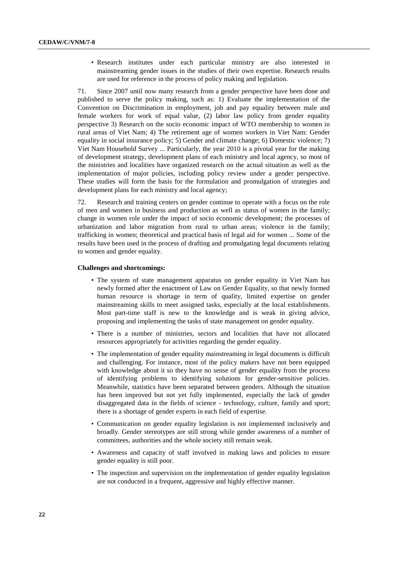• Research institutes under each particular ministry are also interested in mainstreaming gender issues in the studies of their own expertise. Research results are used for reference in the process of policy making and legislation.

71. Since 2007 until now many research from a gender perspective have been done and published to serve the policy making, such as: 1) Evaluate the implementation of the Convention on Discrimination in employment, job and pay equality between male and female workers for work of equal value, (2) labor law policy from gender equality perspective 3) Research on the socio economic impact of WTO membership to women in rural areas of Viet Nam; 4) The retirement age of women workers in Viet Nam: Gender equality in social insurance policy; 5) Gender and climate change; 6) Domestic violence; 7) Viet Nam Household Survey ... Particularly, the year 2010 is a pivotal year for the making of development strategy, development plans of each ministry and local agency, so most of the ministries and localities have organized research on the actual situation as well as the implementation of major policies, including policy review under a gender perspective. These studies will form the basis for the formulation and promulgation of strategies and development plans for each ministry and local agency;

72. Research and training centers on gender continue to operate with a focus on the role of men and women in business and production as well as status of women in the family; change in women role under the impact of socio economic development; the processes of urbanization and labor migration from rural to urban areas; violence in the family; trafficking in women; theoretical and practical basis of legal aid for women ... Some of the results have been used in the process of drafting and promulgating legal documents relating to women and gender equality.

#### **Challenges and shortcomings:**

- The system of state management apparatus on gender equality in Viet Nam has newly formed after the enactment of Law on Gender Equality, so that newly formed human resource is shortage in term of quality, limited expertise on gender mainstreaming skills to meet assigned tasks, especially at the local establishments. Most part-time staff is new to the knowledge and is weak in giving advice, proposing and implementing the tasks of state management on gender equality.
- There is a number of ministries, sectors and localities that have not allocated resources appropriately for activities regarding the gender equality.
- The implementation of gender equality mainstreaming in legal documents is difficult and challenging. For instance, most of the policy makers have not been equipped with knowledge about it so they have no sense of gender equality from the process of identifying problems to identifying solutions for gender-sensitive policies. Meanwhile, statistics have been separated between genders. Although the situation has been improved but not yet fully implemented, especially the lack of gender disaggregated data in the fields of science - technology, culture, family and sport; there is a shortage of gender experts in each field of expertise.
- Communication on gender equality legislation is not implemented inclusively and broadly. Gender stereotypes are still strong while gender awareness of a number of committees, authorities and the whole society still remain weak.
- Awareness and capacity of staff involved in making laws and policies to ensure gender equality is still poor.
- The inspection and supervision on the implementation of gender equality legislation are not conducted in a frequent, aggressive and highly effective manner.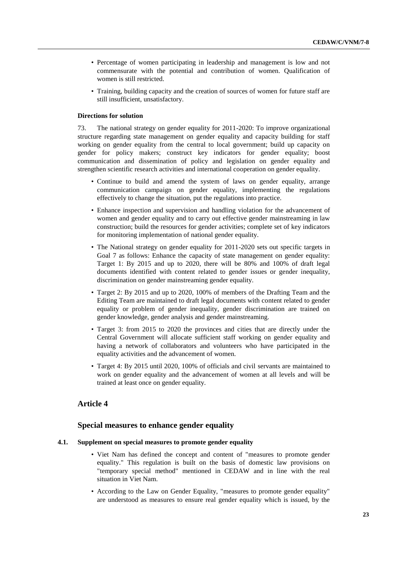- Percentage of women participating in leadership and management is low and not commensurate with the potential and contribution of women. Qualification of women is still restricted.
- Training, building capacity and the creation of sources of women for future staff are still insufficient, unsatisfactory.

#### **Directions for solution**

73. The national strategy on gender equality for 2011-2020: To improve organizational structure regarding state management on gender equality and capacity building for staff working on gender equality from the central to local government; build up capacity on gender for policy makers; construct key indicators for gender equality; boost communication and dissemination of policy and legislation on gender equality and strengthen scientific research activities and international cooperation on gender equality.

- Continue to build and amend the system of laws on gender equality, arrange communication campaign on gender equality, implementing the regulations effectively to change the situation, put the regulations into practice.
- Enhance inspection and supervision and handling violation for the advancement of women and gender equality and to carry out effective gender mainstreaming in law construction; build the resources for gender activities; complete set of key indicators for monitoring implementation of national gender equality.
- The National strategy on gender equality for 2011-2020 sets out specific targets in Goal 7 as follows: Enhance the capacity of state management on gender equality: Target 1: By 2015 and up to 2020, there will be 80% and 100% of draft legal documents identified with content related to gender issues or gender inequality, discrimination on gender mainstreaming gender equality.
- Target 2: By 2015 and up to 2020, 100% of members of the Drafting Team and the Editing Team are maintained to draft legal documents with content related to gender equality or problem of gender inequality, gender discrimination are trained on gender knowledge, gender analysis and gender mainstreaming.
- Target 3: from 2015 to 2020 the provinces and cities that are directly under the Central Government will allocate sufficient staff working on gender equality and having a network of collaborators and volunteers who have participated in the equality activities and the advancement of women.
- Target 4: By 2015 until 2020, 100% of officials and civil servants are maintained to work on gender equality and the advancement of women at all levels and will be trained at least once on gender equality.

## **Article 4**

#### **Special measures to enhance gender equality**

#### **4.1. Supplement on special measures to promote gender equality**

- Viet Nam has defined the concept and content of "measures to promote gender equality." This regulation is built on the basis of domestic law provisions on "temporary special method" mentioned in CEDAW and in line with the real situation in Viet Nam.
- According to the Law on Gender Equality, "measures to promote gender equality" are understood as measures to ensure real gender equality which is issued, by the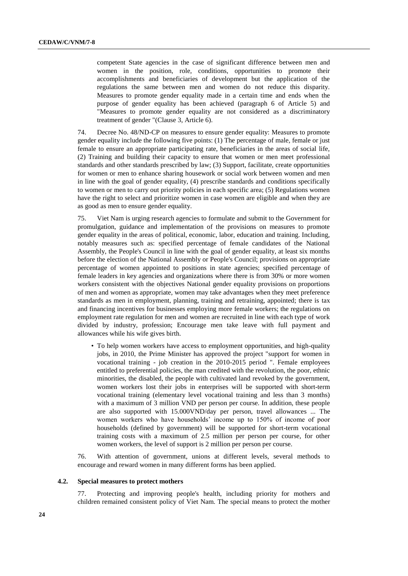competent State agencies in the case of significant difference between men and women in the position, role, conditions, opportunities to promote their accomplishments and beneficiaries of development but the application of the regulations the same between men and women do not reduce this disparity. Measures to promote gender equality made in a certain time and ends when the purpose of gender equality has been achieved (paragraph 6 of Article 5) and "Measures to promote gender equality are not considered as a discriminatory treatment of gender "(Clause 3, Article 6).

74. Decree No. 48/ND-CP on measures to ensure gender equality: Measures to promote gender equality include the following five points: (1) The percentage of male, female or just female to ensure an appropriate participating rate, beneficiaries in the areas of social life, (2) Training and building their capacity to ensure that women or men meet professional standards and other standards prescribed by law; (3) Support, facilitate, create opportunities for women or men to enhance sharing housework or social work between women and men in line with the goal of gender equality, (4) prescribe standards and conditions specifically to women or men to carry out priority policies in each specific area; (5) Regulations women have the right to select and prioritize women in case women are eligible and when they are as good as men to ensure gender equality.

75. Viet Nam is urging research agencies to formulate and submit to the Government for promulgation, guidance and implementation of the provisions on measures to promote gender equality in the areas of political, economic, labor, education and training. Including, notably measures such as: specified percentage of female candidates of the National Assembly, the People's Council in line with the goal of gender equality, at least six months before the election of the National Assembly or People's Council; provisions on appropriate percentage of women appointed to positions in state agencies; specified percentage of female leaders in key agencies and organizations where there is from 30% or more women workers consistent with the objectives National gender equality provisions on proportions of men and women as appropriate, women may take advantages when they meet preference standards as men in employment, planning, training and retraining, appointed; there is tax and financing incentives for businesses employing more female workers; the regulations on employment rate regulation for men and women are recruited in line with each type of work divided by industry, profession; Encourage men take leave with full payment and allowances while his wife gives birth.

• To help women workers have access to employment opportunities, and high-quality jobs, in 2010, the Prime Minister has approved the project "support for women in vocational training - job creation in the 2010-2015 period ". Female employees entitled to preferential policies, the man credited with the revolution, the poor, ethnic minorities, the disabled, the people with cultivated land revoked by the government, women workers lost their jobs in enterprises will be supported with short-term vocational training (elementary level vocational training and less than 3 months) with a maximum of 3 million VND per person per course. In addition, these people are also supported with 15.000VND/day per person, travel allowances ... The women workers who have households' income up to 150% of income of poor households (defined by government) will be supported for short-term vocational training costs with a maximum of 2.5 million per person per course, for other women workers, the level of support is 2 million per person per course.

76. With attention of government, unions at different levels, several methods to encourage and reward women in many different forms has been applied.

#### **4.2. Special measures to protect mothers**

77. Protecting and improving people's health, including priority for mothers and children remained consistent policy of Viet Nam. The special means to protect the mother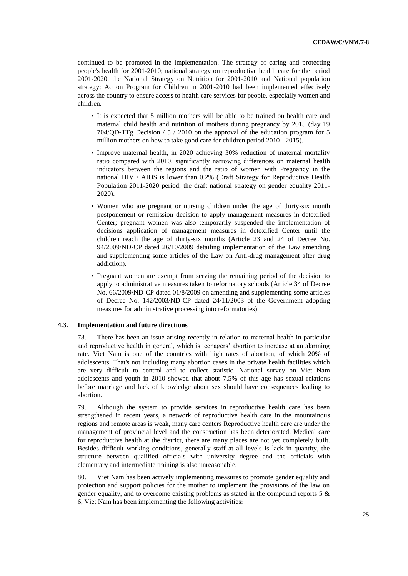continued to be promoted in the implementation. The strategy of caring and protecting people's health for 2001-2010; national strategy on reproductive health care for the period 2001-2020, the National Strategy on Nutrition for 2001-2010 and National population strategy; Action Program for Children in 2001-2010 had been implemented effectively across the country to ensure access to health care services for people, especially women and children.

- It is expected that 5 million mothers will be able to be trained on health care and maternal child health and nutrition of mothers during pregnancy by 2015 (day 19 704/QD-TTg Decision / 5 / 2010 on the approval of the education program for 5 million mothers on how to take good care for children period 2010 - 2015).
- Improve maternal health, in 2020 achieving 30% reduction of maternal mortality ratio compared with 2010, significantly narrowing differences on maternal health indicators between the regions and the ratio of women with Pregnancy in the national HIV / AIDS is lower than 0.2% (Draft Strategy for Reproductive Health Population 2011-2020 period, the draft national strategy on gender equality 2011- 2020).
- Women who are pregnant or nursing children under the age of thirty-six month postponement or remission decision to apply management measures in detoxified Center; pregnant women was also temporarily suspended the implementation of decisions application of management measures in detoxified Center until the children reach the age of thirty-six months (Article 23 and 24 of Decree No. 94/2009/ND-CP dated 26/10/2009 detailing implementation of the Law amending and supplementing some articles of the Law on Anti-drug management after drug addiction).
- Pregnant women are exempt from serving the remaining period of the decision to apply to administrative measures taken to reformatory schools (Article 34 of Decree No. 66/2009/ND-CP dated 01/8/2009 on amending and supplementing some articles of Decree No. 142/2003/ND-CP dated 24/11/2003 of the Government adopting measures for administrative processing into reformatories).

#### **4.3. Implementation and future directions**

78. There has been an issue arising recently in relation to maternal health in particular and reproductive health in general, which is teenagers' abortion to increase at an alarming rate. Viet Nam is one of the countries with high rates of abortion, of which 20% of adolescents. That's not including many abortion cases in the private health facilities which are very difficult to control and to collect statistic. National survey on Viet Nam adolescents and youth in 2010 showed that about 7.5% of this age has sexual relations before marriage and lack of knowledge about sex should have consequences leading to abortion.

79. Although the system to provide services in reproductive health care has been strengthened in recent years, a network of reproductive health care in the mountainous regions and remote areas is weak, many care centers Reproductive health care are under the management of provincial level and the construction has been deteriorated. Medical care for reproductive health at the district, there are many places are not yet completely built. Besides difficult working conditions, generally staff at all levels is lack in quantity, the structure between qualified officials with university degree and the officials with elementary and intermediate training is also unreasonable.

80. Viet Nam has been actively implementing measures to promote gender equality and protection and support policies for the mother to implement the provisions of the law on gender equality, and to overcome existing problems as stated in the compound reports 5 & 6, Viet Nam has been implementing the following activities: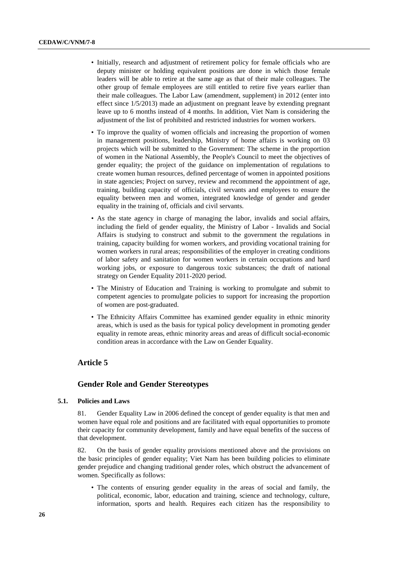- Initially, research and adjustment of retirement policy for female officials who are deputy minister or holding equivalent positions are done in which those female leaders will be able to retire at the same age as that of their male colleagues. The other group of female employees are still entitled to retire five years earlier than their male colleagues. The Labor Law (amendment, supplement) in 2012 (enter into effect since 1/5/2013) made an adjustment on pregnant leave by extending pregnant leave up to 6 months instead of 4 months. In addition, Viet Nam is considering the adjustment of the list of prohibited and restricted industries for women workers.
- To improve the quality of women officials and increasing the proportion of women in management positions, leadership, Ministry of home affairs is working on 03 projects which will be submitted to the Government: The scheme in the proportion of women in the National Assembly, the People's Council to meet the objectives of gender equality; the project of the guidance on implementation of regulations to create women human resources, defined percentage of women in appointed positions in state agencies; Project on survey, review and recommend the appointment of age, training, building capacity of officials, civil servants and employees to ensure the equality between men and women, integrated knowledge of gender and gender equality in the training of, officials and civil servants.
- As the state agency in charge of managing the labor, invalids and social affairs, including the field of gender equality, the Ministry of Labor - Invalids and Social Affairs is studying to construct and submit to the government the regulations in training, capacity building for women workers, and providing vocational training for women workers in rural areas; responsibilities of the employer in creating conditions of labor safety and sanitation for women workers in certain occupations and hard working jobs, or exposure to dangerous toxic substances; the draft of national strategy on Gender Equality 2011-2020 period.
- The Ministry of Education and Training is working to promulgate and submit to competent agencies to promulgate policies to support for increasing the proportion of women are post-graduated.
- The Ethnicity Affairs Committee has examined gender equality in ethnic minority areas, which is used as the basis for typical policy development in promoting gender equality in remote areas, ethnic minority areas and areas of difficult social-economic condition areas in accordance with the Law on Gender Equality.

## **Article 5**

#### **Gender Role and Gender Stereotypes**

#### **5.1. Policies and Laws**

81. Gender Equality Law in 2006 defined the concept of gender equality is that men and women have equal role and positions and are facilitated with equal opportunities to promote their capacity for community development, family and have equal benefits of the success of that development.

82. On the basis of gender equality provisions mentioned above and the provisions on the basic principles of gender equality; Viet Nam has been building policies to eliminate gender prejudice and changing traditional gender roles, which obstruct the advancement of women. Specifically as follows:

• The contents of ensuring gender equality in the areas of social and family, the political, economic, labor, education and training, science and technology, culture, information, sports and health. Requires each citizen has the responsibility to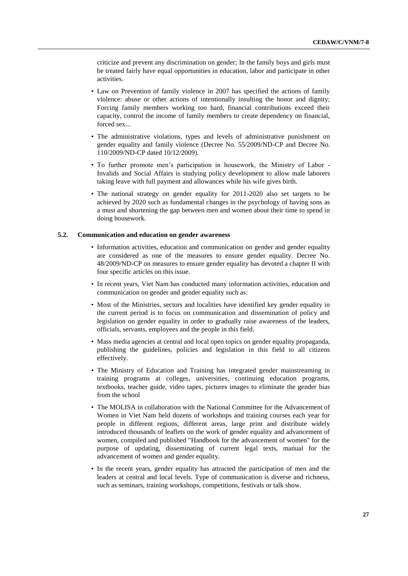criticize and prevent any discrimination on gender; In the family boys and girls must be treated fairly have equal opportunities in education, labor and participate in other activities.

- Law on Prevention of family violence in 2007 has specified the actions of family violence: abuse or other actions of intentionally insulting the honor and dignity; Forcing family members working too hard, financial contributions exceed their capacity, control the income of family members to create dependency on financial, forced sex...
- The administrative violations, types and levels of administrative punishment on gender equality and family violence (Decree No. 55/2009/ND-CP and Decree No. 110/2009/ND-CP dated 10/12/2009).
- To further promote men's participation in housework, the Ministry of Labor Invalids and Social Affairs is studying policy development to allow male laborers taking leave with full payment and allowances while his wife gives birth.
- The national strategy on gender equality for 2011-2020 also set targets to be achieved by 2020 such as fundamental changes in the psychology of having sons as a must and shortening the gap between men and women about their time to spend in doing housework.

#### **5.2. Communication and education on gender awareness**

- Information activities, education and communication on gender and gender equality are considered as one of the measures to ensure gender equality. Decree No. 48/2009/ND-CP on measures to ensure gender equality has devoted a chapter II with four specific articles on this issue.
- In recent years, Viet Nam has conducted many information activities, education and communication on gender and gender equality such as:
- Most of the Ministries, sectors and localities have identified key gender equality in the current period is to focus on communication and dissemination of policy and legislation on gender equality in order to gradually raise awareness of the leaders, officials, servants, employees and the people in this field.
- Mass media agencies at central and local open topics on gender equality propaganda, publishing the guidelines, policies and legislation in this field to all citizens effectively.
- The Ministry of Education and Training has integrated gender mainstreaming in training programs at colleges, universities, continuing education programs, textbooks, teacher guide, video tapes, pictures images to eliminate the gender bias from the school
- The MOLISA in collaboration with the National Committee for the Advancement of Women in Viet Nam held dozens of workshops and training courses each year for people in different regions, different areas, large print and distribute widely introduced thousands of leaflets on the work of gender equality and advancement of women, compiled and published "Handbook for the advancement of women" for the purpose of updating, disseminating of current legal texts, manual for the advancement of women and gender equality.
- In the recent years, gender equality has attracted the participation of men and the leaders at central and local levels. Type of communication is diverse and richness, such as seminars, training workshops, competitions, festivals or talk show.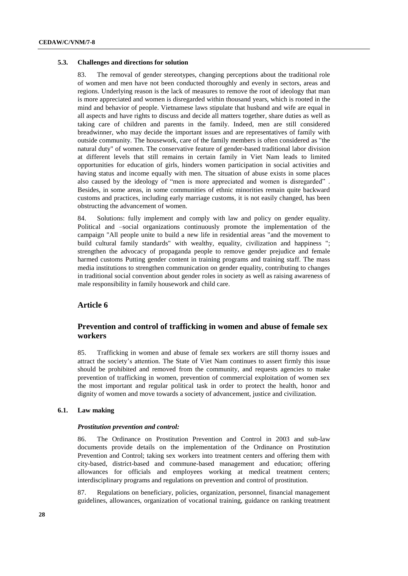#### **5.3. Challenges and directions for solution**

83. The removal of gender stereotypes, changing perceptions about the traditional role of women and men have not been conducted thoroughly and evenly in sectors, areas and regions. Underlying reason is the lack of measures to remove the root of ideology that man is more appreciated and women is disregarded within thousand years, which is rooted in the mind and behavior of people. Vietnamese laws stipulate that husband and wife are equal in all aspects and have rights to discuss and decide all matters together, share duties as well as taking care of children and parents in the family. Indeed, men are still considered breadwinner, who may decide the important issues and are representatives of family with outside community. The housework, care of the family members is often considered as "the natural duty" of women. The conservative feature of gender-based traditional labor division at different levels that still remains in certain family in Viet Nam leads to limited opportunities for education of girls, hinders women participation in social activities and having status and income equally with men. The situation of abuse exists in some places also caused by the ideology of "men is more appreciated and women is disregarded" . Besides, in some areas, in some communities of ethnic minorities remain quite backward customs and practices, including early marriage customs, it is not easily changed, has been obstructing the advancement of women.

84. Solutions: fully implement and comply with law and policy on gender equality. Political and –social organizations continuously promote the implementation of the campaign "All people unite to build a new life in residential areas "and the movement to build cultural family standards" with wealthy, equality, civilization and happiness "; strengthen the advocacy of propaganda people to remove gender prejudice and female harmed customs Putting gender content in training programs and training staff. The mass media institutions to strengthen communication on gender equality, contributing to changes in traditional social convention about gender roles in society as well as raising awareness of male responsibility in family housework and child care.

## **Article 6**

## **Prevention and control of trafficking in women and abuse of female sex workers**

85. Trafficking in women and abuse of female sex workers are still thorny issues and attract the society's attention. The State of Viet Nam continues to assert firmly this issue should be prohibited and removed from the community, and requests agencies to make prevention of trafficking in women, prevention of commercial exploitation of women sex the most important and regular political task in order to protect the health, honor and dignity of women and move towards a society of advancement, justice and civilization.

#### **6.1. Law making**

#### *Prostitution prevention and control:*

86. The Ordinance on Prostitution Prevention and Control in 2003 and sub-law documents provide details on the implementation of the Ordinance on Prostitution Prevention and Control; taking sex workers into treatment centers and offering them with city-based, district-based and commune-based management and education; offering allowances for officials and employees working at medical treatment centers; interdisciplinary programs and regulations on prevention and control of prostitution.

87. Regulations on beneficiary, policies, organization, personnel, financial management guidelines, allowances, organization of vocational training, guidance on ranking treatment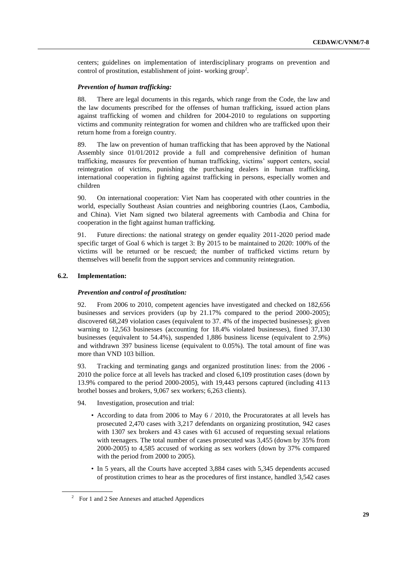centers; guidelines on implementation of interdisciplinary programs on prevention and control of prostitution, establishment of joint-working group<sup>2</sup>.

#### *Prevention of human trafficking:*

88. There are legal documents in this regards, which range from the Code, the law and the law documents prescribed for the offenses of human trafficking, issued action plans against trafficking of women and children for 2004-2010 to regulations on supporting victims and community reintegration for women and children who are trafficked upon their return home from a foreign country.

89. The law on prevention of human trafficking that has been approved by the National Assembly since 01/01/2012 provide a full and comprehensive definition of human trafficking, measures for prevention of human trafficking, victims' support centers, social reintegration of victims, punishing the purchasing dealers in human trafficking, international cooperation in fighting against trafficking in persons, especially women and children

90. On international cooperation: Viet Nam has cooperated with other countries in the world, especially Southeast Asian countries and neighboring countries (Laos, Cambodia, and China). Viet Nam signed two bilateral agreements with Cambodia and China for cooperation in the fight against human trafficking.

91. Future directions: the national strategy on gender equality 2011-2020 period made specific target of Goal 6 which is target 3: By 2015 to be maintained to 2020: 100% of the victims will be returned or be rescued; the number of trafficked victims return by themselves will benefit from the support services and community reintegration.

#### **6.2. Implementation:**

#### *Prevention and control of prostitution:*

92. From 2006 to 2010, competent agencies have investigated and checked on 182,656 businesses and services providers (up by 21.17% compared to the period 2000-2005); discovered 68,249 violation cases (equivalent to 37. 4% of the inspected businesses); given warning to 12,563 businesses (accounting for 18.4% violated businesses), fined 37,130 businesses (equivalent to 54.4%), suspended 1,886 business license (equivalent to 2.9%) and withdrawn 397 business license (equivalent to 0.05%). The total amount of fine was more than VND 103 billion.

93. Tracking and terminating gangs and organized prostitution lines: from the 2006 - 2010 the police force at all levels has tracked and closed 6,109 prostitution cases (down by 13.9% compared to the period 2000-2005), with 19,443 persons captured (including 4113 brothel bosses and brokers, 9,067 sex workers; 6,263 clients).

94. Investigation, prosecution and trial:

- According to data from 2006 to May 6 / 2010, the Procuratorates at all levels has prosecuted 2,470 cases with 3,217 defendants on organizing prostitution, 942 cases with 1307 sex brokers and 43 cases with 61 accused of requesting sexual relations with teenagers. The total number of cases prosecuted was 3,455 (down by 35% from 2000-2005) to 4,585 accused of working as sex workers (down by 37% compared with the period from 2000 to 2005).
- In 5 years, all the Courts have accepted 3,884 cases with 5,345 dependents accused of prostitution crimes to hear as the procedures of first instance, handled 3,542 cases

 $2^{\circ}$  For 1 and 2 See Annexes and attached Appendices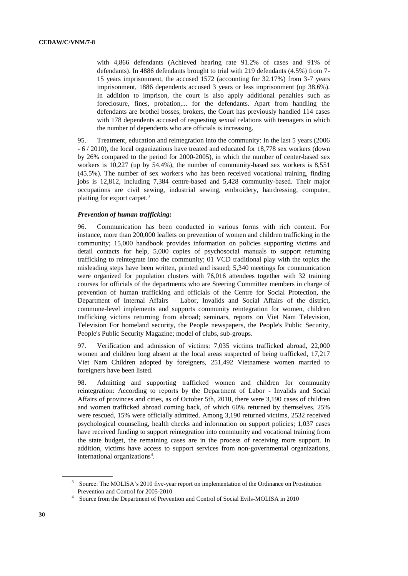with 4,866 defendants (Achieved hearing rate 91.2% of cases and 91% of defendants). In 4886 defendants brought to trial with 219 defendants (4.5%) from 7- 15 years imprisonment, the accused 1572 (accounting for 32.17%) from 3-7 years imprisonment, 1886 dependents accused 3 years or less imprisonment (up 38.6%). In addition to imprison, the court is also apply additional penalties such as foreclosure, fines, probation,... for the defendants. Apart from handling the defendants are brothel bosses, brokers, the Court has previously handled 114 cases with 178 dependents accused of requesting sexual relations with teenagers in which the number of dependents who are officials is increasing.

95. Treatment, education and reintegration into the community: In the last 5 years (2006 - 6 / 2010), the local organizations have treated and educated for 18,778 sex workers (down by 26% compared to the period for 2000-2005), in which the number of center-based sex workers is 10,227 (up by 54.4%), the number of community-based sex workers is 8,551 (45.5%). The number of sex workers who has been received vocational training, finding jobs is 12,812, including 7,384 centre-based and 5,428 community-based. Their major occupations are civil sewing, industrial sewing, embroidery, hairdressing, computer, plaiting for export carpet.<sup>3</sup>

#### *Prevention of human trafficking:*

96. Communication has been conducted in various forms with rich content. For instance, more than 200,000 leaflets on prevention of women and children trafficking in the community; 15,000 handbook provides information on policies supporting victims and detail contacts for help, 5,000 copies of psychosocial manuals to support returning trafficking to reintegrate into the community; 01 VCD traditional play with the topics the misleading steps have been written, printed and issued; 5,340 meetings for communication were organized for population clusters with 76,016 attendees together with 32 training courses for officials of the departments who are Steering Committee members in charge of prevention of human trafficking and officials of the Centre for Social Protection, the Department of Internal Affairs – Labor, Invalids and Social Affairs of the district, commune-level implements and supports community reintegration for women, children trafficking victims returning from abroad; seminars, reports on Viet Nam Television, Television For homeland security, the People newspapers, the People's Public Security, People's Public Security Magazine; model of clubs, sub-groups.

97. Verification and admission of victims: 7,035 victims trafficked abroad, 22,000 women and children long absent at the local areas suspected of being trafficked, 17,217 Viet Nam Children adopted by foreigners, 251,492 Vietnamese women married to foreigners have been listed.

98. Admitting and supporting trafficked women and children for community reintegration: According to reports by the Department of Labor - Invalids and Social Affairs of provinces and cities, as of October 5th, 2010, there were 3,190 cases of children and women trafficked abroad coming back, of which 60% returned by themselves, 25% were rescued, 15% were officially admitted. Among 3,190 returned victims, 2532 received psychological counseling, health checks and information on support policies; 1,037 cases have received funding to support reintegration into community and vocational training from the state budget, the remaining cases are in the process of receiving more support. In addition, victims have access to support services from non-governmental organizations, international organizations<sup>4</sup>.

<sup>3</sup> Source: The MOLISA's 2010 five-year report on implementation of the Ordinance on Prostitution Prevention and Control for 2005-2010

<sup>&</sup>lt;sup>4</sup> Source from the Department of Prevention and Control of Social Evils-MOLISA in 2010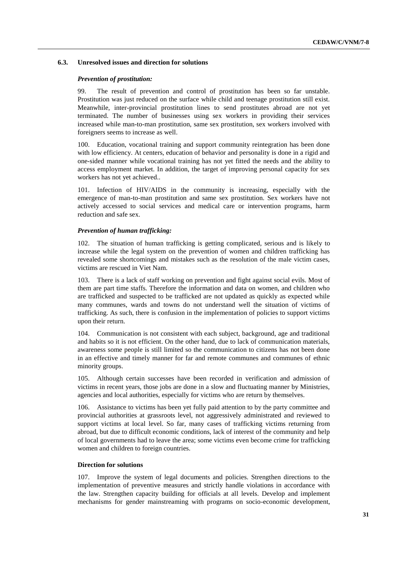#### **6.3. Unresolved issues and direction for solutions**

#### *Prevention of prostitution:*

99. The result of prevention and control of prostitution has been so far unstable. Prostitution was just reduced on the surface while child and teenage prostitution still exist. Meanwhile, inter-provincial prostitution lines to send prostitutes abroad are not yet terminated. The number of businesses using sex workers in providing their services increased while man-to-man prostitution, same sex prostitution, sex workers involved with foreigners seems to increase as well.

100. Education, vocational training and support community reintegration has been done with low efficiency. At centers, education of behavior and personality is done in a rigid and one-sided manner while vocational training has not yet fitted the needs and the ability to access employment market. In addition, the target of improving personal capacity for sex workers has not yet achieved..

101. Infection of HIV/AIDS in the community is increasing, especially with the emergence of man-to-man prostitution and same sex prostitution. Sex workers have not actively accessed to social services and medical care or intervention programs, harm reduction and safe sex.

#### *Prevention of human trafficking:*

102. The situation of human trafficking is getting complicated, serious and is likely to increase while the legal system on the prevention of women and children trafficking has revealed some shortcomings and mistakes such as the resolution of the male victim cases, victims are rescued in Viet Nam.

103. There is a lack of staff working on prevention and fight against social evils. Most of them are part time staffs. Therefore the information and data on women, and children who are trafficked and suspected to be trafficked are not updated as quickly as expected while many communes, wards and towns do not understand well the situation of victims of trafficking. As such, there is confusion in the implementation of policies to support victims upon their return.

104. Communication is not consistent with each subject, background, age and traditional and habits so it is not efficient. On the other hand, due to lack of communication materials, awareness some people is still limited so the communication to citizens has not been done in an effective and timely manner for far and remote communes and communes of ethnic minority groups.

105. Although certain successes have been recorded in verification and admission of victims in recent years, those jobs are done in a slow and fluctuating manner by Ministries, agencies and local authorities, especially for victims who are return by themselves.

106. Assistance to victims has been yet fully paid attention to by the party committee and provincial authorities at grassroots level, not aggressively administrated and reviewed to support victims at local level. So far, many cases of trafficking victims returning from abroad, but due to difficult economic conditions, lack of interest of the community and help of local governments had to leave the area; some victims even become crime for trafficking women and children to foreign countries.

#### **Direction for solutions**

107. Improve the system of legal documents and policies. Strengthen directions to the implementation of preventive measures and strictly handle violations in accordance with the law. Strengthen capacity building for officials at all levels. Develop and implement mechanisms for gender mainstreaming with programs on socio-economic development,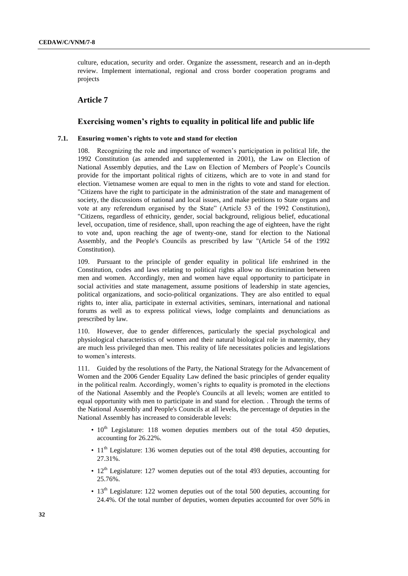culture, education, security and order. Organize the assessment, research and an in-depth review. Implement international, regional and cross border cooperation programs and projects

#### **Article 7**

#### **Exercising women's rights to equality in political life and public life**

#### **7.1. Ensuring women's rights to vote and stand for election**

108. Recognizing the role and importance of women's participation in political life, the 1992 Constitution (as amended and supplemented in 2001), the Law on Election of National Assembly deputies, and the Law on Election of Members of People's Councils provide for the important political rights of citizens, which are to vote in and stand for election. Vietnamese women are equal to men in the rights to vote and stand for election. "Citizens have the right to participate in the administration of the state and management of society, the discussions of national and local issues, and make petitions to State organs and vote at any referendum organised by the State" (Article 53 of the 1992 Constitution), "Citizens, regardless of ethnicity, gender, social background, religious belief, educational level, occupation, time of residence, shall, upon reaching the age of eighteen, have the right to vote and, upon reaching the age of twenty-one, stand for election to the National Assembly, and the People's Councils as prescribed by law "(Article 54 of the 1992 Constitution).

109. Pursuant to the principle of gender equality in political life enshrined in the Constitution, codes and laws relating to political rights allow no discrimination between men and women. Accordingly, men and women have equal opportunity to participate in social activities and state management, assume positions of leadership in state agencies, political organizations, and socio-political organizations. They are also entitled to equal rights to, inter alia, participate in external activities, seminars, international and national forums as well as to express political views, lodge complaints and denunciations as prescribed by law.

110. However, due to gender differences, particularly the special psychological and physiological characteristics of women and their natural biological role in maternity, they are much less privileged than men. This reality of life necessitates policies and legislations to women's interests.

111. Guided by the resolutions of the Party, the National Strategy for the Advancement of Women and the 2006 Gender Equality Law defined the basic principles of gender equality in the political realm. Accordingly, women's rights to equality is promoted in the elections of the National Assembly and the People's Councils at all levels; women are entitled to equal opportunity with men to participate in and stand for election. . Through the terms of the National Assembly and People's Councils at all levels, the percentage of deputies in the National Assembly has increased to considerable levels:

- $\cdot$  10<sup>th</sup> Legislature: 118 women deputies members out of the total 450 deputies, accounting for 26.22%.
- 11<sup>th</sup> Legislature: 136 women deputies out of the total 498 deputies, accounting for 27.31%.
- $\cdot$  12<sup>th</sup> Legislature: 127 women deputies out of the total 493 deputies, accounting for 25.76%.
- $\cdot$  13<sup>th</sup> Legislature: 122 women deputies out of the total 500 deputies, accounting for 24.4%. Of the total number of deputies, women deputies accounted for over 50% in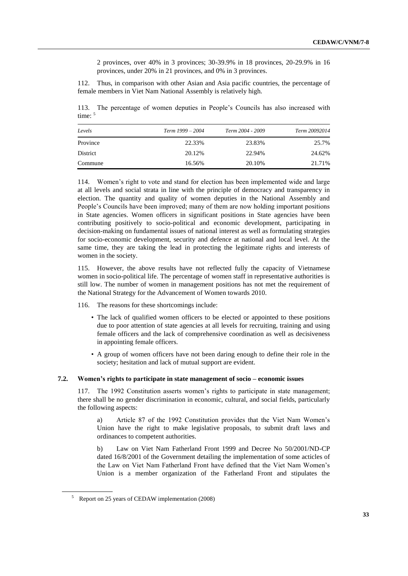2 provinces, over 40% in 3 provinces; 30-39.9% in 18 provinces, 20-29.9% in 16 provinces, under 20% in 21 provinces, and 0% in 3 provinces.

112. Thus, in comparison with other Asian and Asia pacific countries, the percentage of female members in Viet Nam National Assembly is relatively high.

113. The percentage of women deputies in People's Councils has also increased with time: 5

| Levels   | Term 1999 – 2004 | Term 2004 - 2009 | Term 20092014 |
|----------|------------------|------------------|---------------|
| Province | 22.33%           | 23.83%           | 25.7%         |
| District | 20.12\%          | 22.94%           | 24.62%        |
| Commune  | 16.56%           | 20.10%           | 21.71%        |

114. Women's right to vote and stand for election has been implemented wide and large at all levels and social strata in line with the principle of democracy and transparency in election. The quantity and quality of women deputies in the National Assembly and People's Councils have been improved; many of them are now holding important positions in State agencies. Women officers in significant positions in State agencies have been contributing positively to socio-political and economic development, participating in decision-making on fundamental issues of national interest as well as formulating strategies for socio-economic development, security and defence at national and local level. At the same time, they are taking the lead in protecting the legitimate rights and interests of women in the society.

115. However, the above results have not reflected fully the capacity of Vietnamese women in socio-political life. The percentage of women staff in representative authorities is still low. The number of women in management positions has not met the requirement of the National Strategy for the Advancement of Women towards 2010.

- 116. The reasons for these shortcomings include:
	- The lack of qualified women officers to be elected or appointed to these positions due to poor attention of state agencies at all levels for recruiting, training and using female officers and the lack of comprehensive coordination as well as decisiveness in appointing female officers.
	- A group of women officers have not been daring enough to define their role in the society; hesitation and lack of mutual support are evident.

## **7.2. Women's rights to participate in state management of socio – economic issues**

117. The 1992 Constitution asserts women's rights to participate in state management; there shall be no gender discrimination in economic, cultural, and social fields, particularly the following aspects:

a) Article 87 of the 1992 Constitution provides that the Viet Nam Women's Union have the right to make legislative proposals, to submit draft laws and ordinances to competent authorities.

b) Law on Viet Nam Fatherland Front 1999 and Decree No 50/2001/ND-CP dated 16/8/2001 of the Government detailing the implementation of some acticles of the Law on Viet Nam Fatherland Front have defined that the Viet Nam Women's Union is a member organization of the Fatherland Front and stipulates the

<sup>5</sup> Report on 25 years of CEDAW implementation (2008)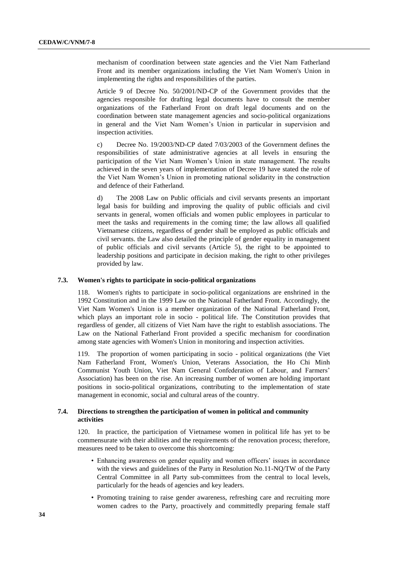mechanism of coordination between state agencies and the Viet Nam Fatherland Front and its member organizations including the Viet Nam Women's Union in implementing the rights and responsibilities of the parties.

Article 9 of Decree No. 50/2001/ND-CP of the Government provides that the agencies responsible for drafting legal documents have to consult the member organizations of the Fatherland Front on draft legal documents and on the coordination between state management agencies and socio-political organizations in general and the Viet Nam Women's Union in particular in supervision and inspection activities.

c) Decree No. 19/2003/ND-CP dated 7/03/2003 of the Government defines the responsibilities of state administrative agencies at all levels in ensuring the participation of the Viet Nam Women's Union in state management. The results achieved in the seven years of implementation of Decree 19 have stated the role of the Viet Nam Women's Union in promoting national solidarity in the construction and defence of their Fatherland.

The 2008 Law on Public officials and civil servants presents an important legal basis for building and improving the quality of public officials and civil servants in general, women officials and women public employees in particular to meet the tasks and requirements in the coming time; the law allows all qualified Vietnamese citizens, regardless of gender shall be employed as public officials and civil servants. the Law also detailed the principle of gender equality in management of public officials and civil servants (Article 5), the right to be appointed to leadership positions and participate in decision making, the right to other privileges provided by law.

#### **7.3. Women's rights to participate in socio-political organizations**

118. Women's rights to participate in socio-political organizations are enshrined in the 1992 Constitution and in the 1999 Law on the National Fatherland Front. Accordingly, the Viet Nam Women's Union is a member organization of the National Fatherland Front, which plays an important role in socio - political life. The Constitution provides that regardless of gender, all citizens of Viet Nam have the right to establish associations. The Law on the National Fatherland Front provided a specific mechanism for coordination among state agencies with Women's Union in monitoring and inspection activities.

119. The proportion of women participating in socio - political organizations (the Viet Nam Fatherland Front, Women's Union, Veterans Association, the Ho Chi Minh Communist Youth Union, Viet Nam General Confederation of Labour, and Farmers' Association) has been on the rise. An increasing number of women are holding important positions in socio-political organizations, contributing to the implementation of state management in economic, social and cultural areas of the country.

### **7.4. Directions to strengthen the participation of women in political and community activities**

120. In practice, the participation of Vietnamese women in political life has yet to be commensurate with their abilities and the requirements of the renovation process; therefore, measures need to be taken to overcome this shortcoming:

- Enhancing awareness on gender equality and women officers' issues in accordance with the views and guidelines of the Party in Resolution No.11-NQ/TW of the Party Central Committee in all Party sub-committees from the central to local levels, particularly for the heads of agencies and key leaders.
- Promoting training to raise gender awareness, refreshing care and recruiting more women cadres to the Party, proactively and committedly preparing female staff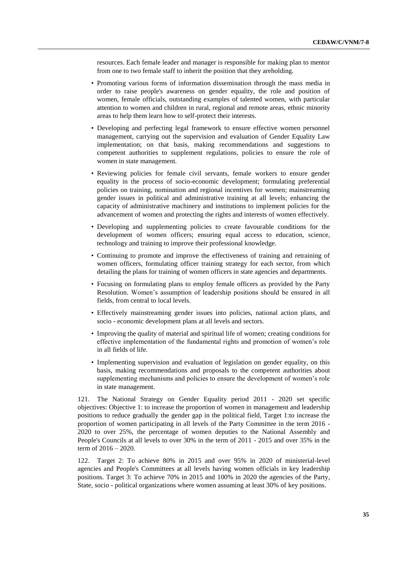resources. Each female leader and manager is responsible for making plan to mentor from one to two female staff to inherit the position that they areholding.

- Promoting various forms of information dissemination through the mass media in order to raise people's awareness on gender equality, the role and position of women, female officials, outstanding examples of talented women, with particular attention to women and children in rural, regional and remote areas, ethnic minority areas to help them learn how to self-protect their interests.
- Developing and perfecting legal framework to ensure effective women personnel management, carrying out the supervision and evaluation of Gender Equality Law implementation; on that basis, making recommendations and suggestions to competent authorities to supplement regulations, policies to ensure the role of women in state management.
- Reviewing policies for female civil servants, female workers to ensure gender equality in the process of socio-economic development; formulating preferential policies on training, nomination and regional incentives for women; mainstreaming gender issues in political and administrative training at all levels; enhancing the capacity of administrative machinery and institutions to implement policies for the advancement of women and protecting the rights and interests of women effectively.
- Developing and supplementing policies to create favourable conditions for the development of women officers; ensuring equal access to education, science, technology and training to improve their professional knowledge.
- Continuing to promote and improve the effectiveness of training and retraining of women officers, formulating officer training strategy for each sector, from which detailing the plans for training of women officers in state agencies and departments.
- Focusing on formulating plans to employ female officers as provided by the Party Resolution. Women's assumption of leadership positions should be ensured in all fields, from central to local levels.
- Effectively mainstreaming gender issues into policies, national action plans, and socio - economic development plans at all levels and sectors.
- Improving the quality of material and spiritual life of women; creating conditions for effective implementation of the fundamental rights and promotion of women's role in all fields of life.
- Implementing supervision and evaluation of legislation on gender equality, on this basis, making recommendations and proposals to the competent authorities about supplementing mechanisms and policies to ensure the development of women's role in state management.

121. The National Strategy on Gender Equality period 2011 - 2020 set specific objectives: Objective 1: to increase the proportion of women in management and leadership positions to reduce gradually the gender gap in the political field, Target 1:to increase the proportion of women participating in all levels of the Party Committee in the term 2016 - 2020 to over 25%, the percentage of women deputies to the National Assembly and People's Councils at all levels to over 30% in the term of 2011 - 2015 and over 35% in the term of 2016 – 2020.

122. Target 2: To achieve 80% in 2015 and over 95% in 2020 of ministerial-level agencies and People's Committees at all levels having women officials in key leadership positions. Target 3: To achieve 70% in 2015 and 100% in 2020 the agencies of the Party, State, socio - political organizations where women assuming at least 30% of key positions.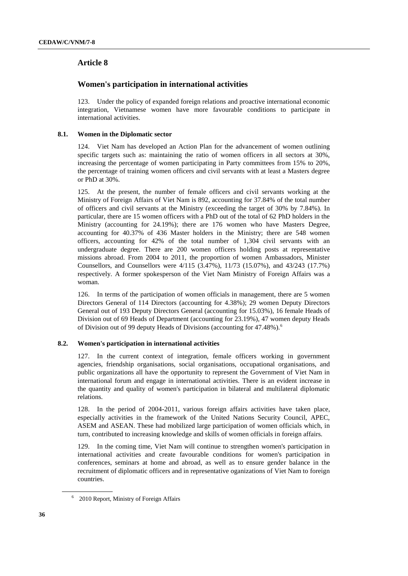## **Article 8**

## **Women's participation in international activities**

123. Under the policy of expanded foreign relations and proactive international economic integration, Vietnamese women have more favourable conditions to participate in international activities.

#### **8.1. Women in the Diplomatic sector**

124. Viet Nam has developed an Action Plan for the advancement of women outlining specific targets such as: maintaining the ratio of women officers in all sectors at 30%, increasing the percentage of women participating in Party committees from 15% to 20%, the percentage of training women officers and civil servants with at least a Masters degree or PhD at 30%.

125. At the present, the number of female officers and civil servants working at the Ministry of Foreign Affairs of Viet Nam is 892, accounting for 37.84% of the total number of officers and civil servants at the Ministry (exceeding the target of 30% by 7.84%). In particular, there are 15 women officers with a PhD out of the total of 62 PhD holders in the Ministry (accounting for 24.19%); there are 176 women who have Masters Degree, accounting for 40.37% of 436 Master holders in the Ministry; there are 548 women officers, accounting for 42% of the total number of 1,304 civil servants with an undergraduate degree. There are 200 women officers holding posts at representative missions abroad. From 2004 to 2011, the proportion of women Ambassadors, Minister Counsellors, and Counsellors were 4/115 (3.47%), 11/73 (15.07%), and 43/243 (17.7%) respectively. A former spokesperson of the Viet Nam Ministry of Foreign Affairs was a woman.

126. In terms of the participation of women officials in management, there are 5 women Directors General of 114 Directors (accounting for 4.38%); 29 women Deputy Directors General out of 193 Deputy Directors General (accounting for 15.03%), 16 female Heads of Division out of 69 Heads of Department (accounting for 23.19%), 47 women deputy Heads of Division out of 99 deputy Heads of Divisions (accounting for 47.48%).<sup>6</sup>

#### **8.2. Women's participation in international activities**

127. In the current context of integration, female officers working in government agencies, friendship organisations, social organisations, occupational organisations, and public organizations all have the opportunity to represent the Government of Viet Nam in international forum and engage in international activities. There is an evident increase in the quantity and quality of women's participation in bilateral and multilateral diplomatic relations.

128. In the period of 2004-2011, various foreign affairs activities have taken place, especially activities in the framework of the United Nations Security Council, APEC, ASEM and ASEAN. These had mobilized large participation of women officials which, in turn, contributed to increasing knowledge and skills of women officials in foreign affairs.

129. In the coming time, Viet Nam will continue to strengthen women's participation in international activities and create favourable conditions for women's participation in conferences, seminars at home and abroad, as well as to ensure gender balance in the recruitment of diplomatic officers and in representative oganizations of Viet Nam to foreign countries.

<sup>&</sup>lt;sup>6</sup> 2010 Report, Ministry of Foreign Affairs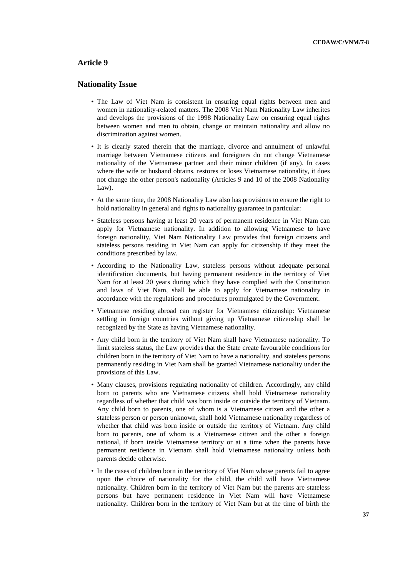## **Article 9**

#### **Nationality Issue**

- The Law of Viet Nam is consistent in ensuring equal rights between men and women in nationality-related matters. The 2008 Viet Nam Nationality Law inherites and develops the provisions of the 1998 Nationality Law on ensuring equal rights between women and men to obtain, change or maintain nationality and allow no discrimination against women.
- It is clearly stated therein that the marriage, divorce and annulment of unlawful marriage between Vietnamese citizens and foreigners do not change Vietnamese nationality of the Vietnamese partner and their minor children (if any). In cases where the wife or husband obtains, restores or loses Vietnamese nationality, it does not change the other person's nationality (Articles 9 and 10 of the 2008 Nationality Law).
- At the same time, the 2008 Nationality Law also has provisions to ensure the right to hold nationality in general and rights to nationality guarantee in particular:
- Stateless persons having at least 20 years of permanent residence in Viet Nam can apply for Vietnamese nationality. In addition to allowing Vietnamese to have foreign nationality, Viet Nam Nationality Law provides that foreign citizens and stateless persons residing in Viet Nam can apply for citizenship if they meet the conditions prescribed by law.
- According to the Nationality Law, stateless persons without adequate personal identification documents, but having permanent residence in the territory of Viet Nam for at least 20 years during which they have complied with the Constitution and laws of Viet Nam, shall be able to apply for Vietnamese nationality in accordance with the regulations and procedures promulgated by the Government.
- Vietnamese residing abroad can register for Vietnamese citizenship: Vietnamese settling in foreign countries without giving up Vietnamese citizenship shall be recognized by the State as having Vietnamese nationality.
- Any child born in the territory of Viet Nam shall have Vietnamese nationality. To limit stateless status, the Law provides that the State create favourable conditions for children born in the territory of Viet Nam to have a nationality, and stateless persons permanently residing in Viet Nam shall be granted Vietnamese nationality under the provisions of this Law.
- Many clauses, provisions regulating nationality of children. Accordingly, any child born to parents who are Vietnamese citizens shall hold Vietnamese nationality regardless of whether that child was born inside or outside the territory of Vietnam. Any child born to parents, one of whom is a Vietnamese citizen and the other a stateless person or person unknown, shall hold Vietnamese nationality regardless of whether that child was born inside or outside the territory of Vietnam. Any child born to parents, one of whom is a Vietnamese citizen and the other a foreign national, if born inside Vietnamese territory or at a time when the parents have permanent residence in Vietnam shall hold Vietnamese nationality unless both parents decide otherwise.
- In the cases of children born in the territory of Viet Nam whose parents fail to agree upon the choice of nationality for the child, the child will have Vietnamese nationality. Children born in the territory of Viet Nam but the parents are stateless persons but have permanent residence in Viet Nam will have Vietnamese nationality. Children born in the territory of Viet Nam but at the time of birth the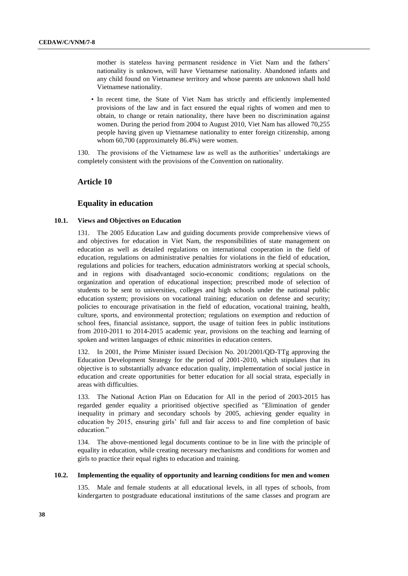mother is stateless having permanent residence in Viet Nam and the fathers' nationality is unknown, will have Vietnamese nationality. Abandoned infants and any child found on Vietnamese territory and whose parents are unknown shall hold Vietnamese nationality.

• In recent time, the State of Viet Nam has strictly and efficiently implemented provisions of the law and in fact ensured the equal rights of women and men to obtain, to change or retain nationality, there have been no discrimination against women. During the period from 2004 to August 2010, Viet Nam has allowed 70,255 people having given up Vietnamese nationality to enter foreign citizenship, among whom 60,700 (approximately 86.4%) were women.

130. The provisions of the Vietnamese law as well as the authorities' undertakings are completely consistent with the provisions of the Convention on nationality.

#### **Article 10**

#### **Equality in education**

#### **10.1. Views and Objectives on Education**

131. The 2005 Education Law and guiding documents provide comprehensive views of and objectives for education in Viet Nam, the responsibilities of state management on education as well as detailed regulations on international cooperation in the field of education, regulations on administrative penalties for violations in the field of education, regulations and policies for teachers, education administrators working at special schools, and in regions with disadvantaged socio-economic conditions; regulations on the organization and operation of educational inspection; prescribed mode of selection of students to be sent to universities, colleges and high schools under the national public education system; provisions on vocational training; education on defense and security; policies to encourage privatisation in the field of education, vocational training, health, culture, sports, and environmental protection; regulations on exemption and reduction of school fees, financial assistance, support, the usage of tuition fees in public institutions from 2010-2011 to 2014-2015 academic year, provisions on the teaching and learning of spoken and written languages of ethnic minorities in education centers.

132. In 2001, the Prime Minister issued Decision No. 201/2001/QD-TTg approving the Education Development Strategy for the period of 2001-2010, which stipulates that its objective is to substantially advance education quality, implementation of social justice in education and create opportunities for better education for all social strata, especially in areas with difficulties.

133. The National Action Plan on Education for All in the period of 2003-2015 has regarded gender equality a prioritised objective specified as "Elimination of gender inequality in primary and secondary schools by 2005, achieving gender equality in education by 2015, ensuring girls' full and fair access to and fine completion of basic education."

134. The above-mentioned legal documents continue to be in line with the principle of equality in education, while creating necessary mechanisms and conditions for women and girls to practice their equal rights to education and training.

#### **10.2. Implementing the equality of opportunity and learning conditions for men and women**

135. Male and female students at all educational levels, in all types of schools, from kindergarten to postgraduate educational institutions of the same classes and program are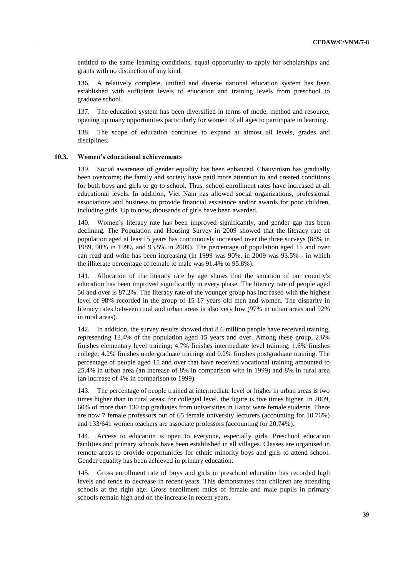entitled to the same learning conditions, equal opportunity to apply for scholarships and grants with no distinction of any kind.

136. A relatively complete, unified and diverse national education system has been established with sufficient levels of education and training levels from preschool to graduate school.

137. The education system has been diversified in terms of mode, method and resource, opening up many opportunities particularly for women of all ages to participate in learning.

138. The scope of education continues to expand at almost all levels, grades and disciplines.

#### **10.3. Women's educational achievements**

139. Social awareness of gender equality has been enhanced. Chauvinism has gradually been overcome; the family and society have paid more attention to and created conditions for both boys and girls to go to school. Thus, school enrollment rates have increased at all educational levels. In addition, Viet Nam has allowed social organizations, professional associations and business to provide financial assistance and/or awards for poor children, including girls. Up to now, thousands of girls have been awarded.

140. Women's literacy rate has been improved significantly, and gender gap has been declining. The Population and Housing Survey in 2009 showed that the literacy rate of population aged at least15 years has continuously increased over the three surveys (88% in 1989, 90% in 1999, and 93.5% in 2009). The percentage of population aged 15 and over can read and write has been increasing (in 1999 was 90%, in 2009 was 93.5% - in which the illiterate percentage of female to male was 91.4% to 95.8%).

141. Allocation of the literacy rate by age shows that the situation of our country's education has been improved significantly in every phase. The literacy rate of people aged 50 and over is 87.2%. The literacy rate of the younger group has increased with the highest level of 98% recorded in the group of 15-17 years old men and women. The disparity in literacy rates between rural and urban areas is also very low (97% in urban areas and 92% in rural areas).

142. In addition, the survey results showed that 8.6 million people have received training, representing 13.4% of the population aged 15 years and over. Among these group, 2.6% finishes elementary level training; 4.7% finishes intermediate level training; 1.6% finishes college; 4.2% finishes undergraduate training and 0.2% finishes postgraduate training. The percentage of people aged 15 and over that have received vocational training amounted to 25.4% in urban area (an increase of 8% in comparison with in 1999) and 8% in rural area (an increase of 4% in comparison to 1999).

143. The percentage of people trained at intermediate level or higher in urban areas is two times higher than in rural areas; for collegial level, the figure is five times higher. In 2009, 60% of more than 130 top graduates from universities in Hanoi were female students. There are now 7 female professors out of 65 female university lecturers (accounting for 10.76%) and 133/641 women teachers are associate professors (accounting for 20.74%).

144. Access to education is open to everyone, especially girls. Preschool education facilities and primary schools have been established in all villages. Classes are organised in remote areas to provide opportunities for ethnic minority boys and girls to attend school. Gender equality has been achieved in primary education.

145. Gross enrollment rate of boys and girls in preschool education has recorded high levels and tends to decrease in recent years. This demonstrates that children are attending schools at the right age. Gross enrollment ratios of female and male pupils in primary schools remain high and on the increase in recent years.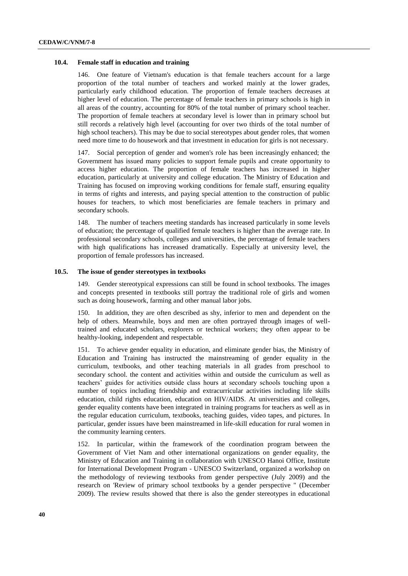#### **10.4. Female staff in education and training**

146. One feature of Vietnam's education is that female teachers account for a large proportion of the total number of teachers and worked mainly at the lower grades, particularly early childhood education. The proportion of female teachers decreases at higher level of education. The percentage of female teachers in primary schools is high in all areas of the country, accounting for 80% of the total number of primary school teacher. The proportion of female teachers at secondary level is lower than in primary school but still records a relatively high level (accounting for over two thirds of the total number of high school teachers). This may be due to social stereotypes about gender roles, that women need more time to do housework and that investment in education for girls is not necessary.

147. Social perception of gender and women's role has been increasingly enhanced; the Government has issued many policies to support female pupils and create opportunity to access higher education. The proportion of female teachers has increased in higher education, particularly at university and college education. The Ministry of Education and Training has focused on improving working conditions for female staff, ensuring equality in terms of rights and interests, and paying special attention to the construction of public houses for teachers, to which most beneficiaries are female teachers in primary and secondary schools.

148. The number of teachers meeting standards has increased particularly in some levels of education; the percentage of qualified female teachers is higher than the average rate. In professional secondary schools, colleges and universities, the percentage of female teachers with high qualifications has increased dramatically. Especially at university level, the proportion of female professors has increased.

#### **10.5. The issue of gender stereotypes in textbooks**

149. Gender stereotypical expressions can still be found in school textbooks. The images and concepts presented in textbooks still portray the traditional role of girls and women such as doing housework, farming and other manual labor jobs.

150. In addition, they are often described as shy, inferior to men and dependent on the help of others. Meanwhile, boys and men are often portrayed through images of welltrained and educated scholars, explorers or technical workers; they often appear to be healthy-looking, independent and respectable.

151. To achieve gender equality in education, and eliminate gender bias, the Ministry of Education and Training has instructed the mainstreaming of gender equality in the curriculum, textbooks, and other teaching materials in all grades from preschool to secondary school. the content and activities within and outside the curriculum as well as teachers' guides for activities outside class hours at secondary schools touching upon a number of topics including friendship and extracurricular activities including life skills education, child rights education, education on HIV/AIDS. At universities and colleges, gender equality contents have been integrated in training programs for teachers as well as in the regular education curriculum, textbooks, teaching guides, video tapes, and pictures. In particular, gender issues have been mainstreamed in life-skill education for rural women in the community learning centers.

152. In particular, within the framework of the coordination program between the Government of Viet Nam and other international organizations on gender equality, the Ministry of Education and Training in collaboration with UNESCO Hanoi Office, Institute for International Development Program - UNESCO Switzerland, organized a workshop on the methodology of reviewing textbooks from gender perspective (July 2009) and the research on 'Review of primary school textbooks by a gender perspective " (December 2009). The review results showed that there is also the gender stereotypes in educational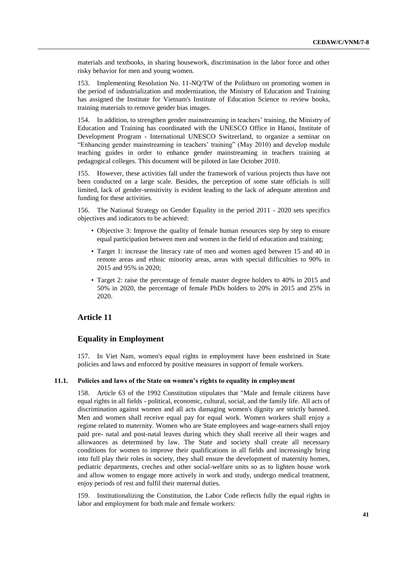materials and textbooks, in sharing housework, discrimination in the labor force and other risky behavior for men and young women.

153. Implementing Resolution No. 11-NQ/TW of the Politburo on promoting women in the period of industrialization and modernization, the Ministry of Education and Training has assigned the Institute for Vietnam's Institute of Education Science to review books, training materials to remove gender bias images.

154. In addition, to strengthen gender mainstreaming in teachers' training, the Ministry of Education and Training has coordinated with the UNESCO Office in Hanoi, Institute of Development Program - International UNESCO Switzerland, to organize a seminar on "Enhancing gender mainstreaming in teachers' training" (May 2010) and develop module teaching guides in order to enhance gender mainstreaming in teachers training at pedagogical colleges. This document will be piloted in late October 2010.

155. However, these activities fall under the framework of various projects thus have not been conducted on a large scale. Besides, the perception of some state officials is still limited, lack of gender-sensitivity is evident leading to the lack of adequate attention and funding for these activities.

156. The National Strategy on Gender Equality in the period 2011 - 2020 sets specifics objectives and indicators to be achieved:

- Objective 3: Improve the quality of female human resources step by step to ensure equal participation between men and women in the field of education and training;
- Target 1: increase the literacy rate of men and women aged between 15 and 40 in remote areas and ethnic minority areas, areas with special difficulties to 90% in 2015 and 95% in 2020;
- Target 2: raise the percentage of female master degree holders to 40% in 2015 and 50% in 2020, the percentage of female PhDs holders to 20% in 2015 and 25% in 2020.

## **Article 11**

#### **Equality in Employment**

157. In Viet Nam, women's equal rights in employment have been enshrined in State policies and laws and enforced by positive measures in support of female workers.

#### **11.1. Policies and laws of the State on women's rights to equality in employment**

158. Article 63 of the 1992 Constitution stipulates that "Male and female citizens have equal rights in all fields - political, economic, cultural, social, and the family life. All acts of discrimination against women and all acts damaging women's dignity are strictly banned. Men and women shall receive equal pay for equal work. Women workers shall enjoy a regime related to maternity. Women who are State employees and wage-earners shall enjoy paid pre- natal and post-natal leaves during which they shall receive all their wages and allowances as determined by law. The State and society shall create all necessary conditions for women to improve their qualifications in all fields and increasingly bring into full play their roles in society, they shall ensure the development of maternity homes, pediatric departments, creches and other social-welfare units so as to lighten house work and allow women to engage more actively in work and study, undergo medical treatment, enjoy periods of rest and fulfil their maternal duties.

159. Institutionalizing the Constitution, the Labor Code reflects fully the equal rights in labor and employment for both male and female workers: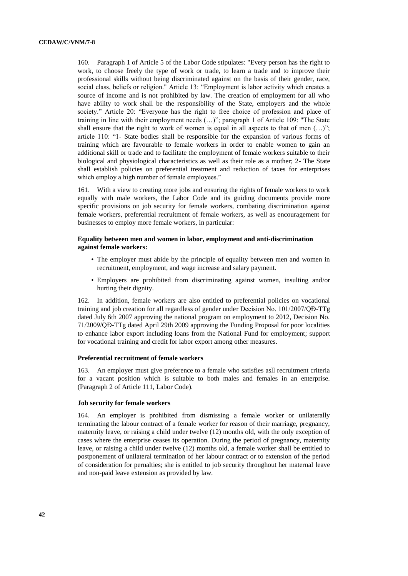160. Paragraph 1 of Article 5 of the Labor Code stipulates: "Every person has the right to work, to choose freely the type of work or trade, to learn a trade and to improve their professional skills without being discriminated against on the basis of their gender, race, social class, beliefs or religion." Article 13: "Employment is labor activity which creates a source of income and is not prohibited by law. The creation of employment for all who have ability to work shall be the responsibility of the State, employers and the whole society." Article 20: "Everyone has the right to free choice of profession and place of training in line with their employment needs (…)"; paragraph 1 of Article 109: "The State shall ensure that the right to work of women is equal in all aspects to that of men  $(...)$ "; article 110: "1- State bodies shall be responsible for the expansion of various forms of training which are favourable to female workers in order to enable women to gain an additional skill or trade and to facilitate the employment of female workers suitable to their biological and physiological characteristics as well as their role as a mother; 2- The State shall establish policies on preferential treatment and reduction of taxes for enterprises which employ a high number of female employees."

161. With a view to creating more jobs and ensuring the rights of female workers to work equally with male workers, the Labor Code and its guiding documents provide more specific provisions on job security for female workers, combating discrimination against female workers, preferential recruitment of female workers, as well as encouragement for businesses to employ more female workers, in particular:

#### **Equality between men and women in labor, employment and anti-discrimination against female workers:**

- The employer must abide by the principle of equality between men and women in recruitment, employment, and wage increase and salary payment.
- Employers are prohibited from discriminating against women, insulting and/or hurting their dignity.

162. In addition, female workers are also entitled to preferential policies on vocational training and job creation for all regardless of gender under Decision No. 101/2007/QĐ-TTg dated July 6th 2007 approving the national program on employment to 2012, Decision No. 71/2009/QĐ-TTg dated April 29th 2009 approving the Funding Proposal for poor localities to enhance labor export including loans from the National Fund for employment; support for vocational training and credit for labor export among other measures.

#### **Preferential recruitment of female workers**

163. An employer must give preference to a female who satisfies asll recruitment criteria for a vacant position which is suitable to both males and females in an enterprise. (Paragraph 2 of Article 111, Labor Code).

#### **Job security for female workers**

164. An employer is prohibited from dismissing a female worker or unilaterally terminating the labour contract of a female worker for reason of their marriage, pregnancy, maternity leave, or raising a child under twelve (12) months old, with the only exception of cases where the enterprise ceases its operation. During the period of pregnancy, maternity leave, or raising a child under twelve (12) months old, a female worker shall be entitled to postponement of unilateral termination of her labour contract or to extension of the period of consideration for pernalties; she is entitled to job security throughout her maternal leave and non-paid leave extension as provided by law.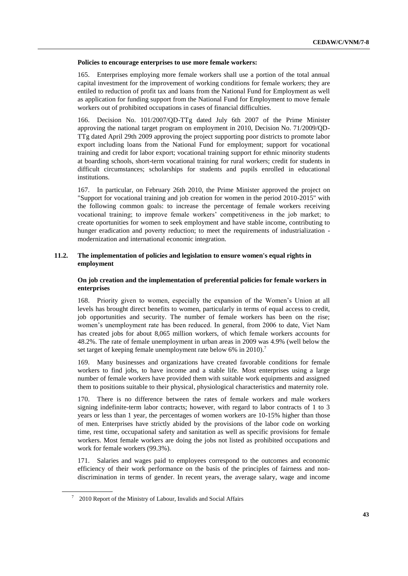#### **Policies to encourage enterprises to use more female workers:**

165. Enterprises employing more female workers shall use a portion of the total annual capital investment for the improvement of working conditions for female workers; they are entiled to reduction of profit tax and loans from the National Fund for Employment as well as application for funding support from the National Fund for Employment to move female workers out of prohibited occupations in cases of financial difficulties.

166. Decision No. 101/2007/QD-TTg dated July 6th 2007 of the Prime Minister approving the national target program on employment in 2010, Decision No. 71/2009/QD-TTg dated April 29th 2009 approving the project supporting poor districts to promote labor export including loans from the National Fund for employment; support for vocational training and credit for labor export; vocational training support for ethnic minority students at boarding schools, short-term vocational training for rural workers; credit for students in difficult circumstances; scholarships for students and pupils enrolled in educational institutions.

167. In particular, on February 26th 2010, the Prime Minister approved the project on "Support for vocational training and job creation for women in the period 2010-2015" with the following common goals: to increase the percentage of female workers receiving vocational training; to improve female workers' competitiveness in the job market; to create oportunities for women to seek employment and have stable income, contributing to hunger eradication and poverty reduction; to meet the requirements of industrialization modernization and international economic integration.

#### **11.2. The implementation of policies and legislation to ensure women's equal rights in employment**

#### **On job creation and the implementation of preferential policies for female workers in enterprises**

168. Priority given to women, especially the expansion of the Women's Union at all levels has brought direct benefits to women, particularly in terms of equal access to credit, job opportunities and security. The number of female workers has been on the rise; women's unemployment rate has been reduced. In general, from 2006 to date, Viet Nam has created jobs for about 8,065 million workers, of which female workers accounts for 48.2%. The rate of female unemployment in urban areas in 2009 was 4.9% (well below the set target of keeping female unemployment rate below 6% in 2010).<sup>7</sup>

169. Many businesses and organizations have created favorable conditions for female workers to find jobs, to have income and a stable life. Most enterprises using a large number of female workers have provided them with suitable work equipments and assigned them to positions suitable to their physical, physiological characteristics and maternity role.

170. There is no difference between the rates of female workers and male workers signing indefinite-term labor contracts; however, with regard to labor contracts of 1 to 3 years or less than 1 year, the percentages of women workers are 10-15% higher than those of men. Enterprises have strictly abided by the provisions of the labor code on working time, rest time, occupational safety and sanitation as well as specific provisions for female workers. Most female workers are doing the jobs not listed as prohibited occupations and work for female workers (99.3%).

171. Salaries and wages paid to employees correspond to the outcomes and economic efficiency of their work performance on the basis of the principles of fairness and nondiscrimination in terms of gender. In recent years, the average salary, wage and income

 $7\quad$  2010 Report of the Ministry of Labour, Invalids and Social Affairs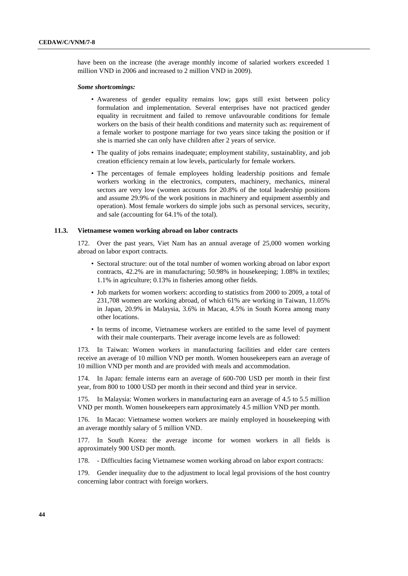have been on the increase (the average monthly income of salaried workers exceeded 1 million VND in 2006 and increased to 2 million VND in 2009).

#### *Some shortcomings:*

- Awareness of gender equality remains low; gaps still exist between policy formulation and implementation. Several enterprises have not practiced gender equality in recruitment and failed to remove unfavourable conditions for female workers on the basis of their health conditions and maternity such as: requirement of a female worker to postpone marriage for two years since taking the position or if she is married she can only have children after 2 years of service.
- The quality of jobs remains inadequate; employment stability, sustainablity, and job creation efficiency remain at low levels, particularly for female workers.
- The percentages of female employees holding leadership positions and female workers working in the electronics, computers, machinery, mechanics, mineral sectors are very low (women accounts for 20.8% of the total leadership positions and assume 29.9% of the work positions in machinery and equipment assembly and operation). Most female workers do simple jobs such as personal services, security, and sale (accounting for 64.1% of the total).

#### **11.3. Vietnamese women working abroad on labor contracts**

172. Over the past years, Viet Nam has an annual average of 25,000 women working abroad on labor export contracts.

- Sectoral structure: out of the total number of women working abroad on labor export contracts, 42.2% are in manufacturing; 50.98% in housekeeping; 1.08% in textiles; 1.1% in agriculture; 0.13% in fisheries among other fields.
- Job markets for women workers: according to statistics from 2000 to 2009, a total of 231,708 women are working abroad, of which 61% are working in Taiwan, 11.05% in Japan, 20.9% in Malaysia, 3.6% in Macao, 4.5% in South Korea among many other locations.
- In terms of income, Vietnamese workers are entitled to the same level of payment with their male counterparts. Their average income levels are as followed:

173. In Taiwan: Women workers in manufacturing facilities and elder care centers receive an average of 10 million VND per month. Women housekeepers earn an average of 10 million VND per month and are provided with meals and accommodation.

174. In Japan: female interns earn an average of 600-700 USD per month in their first year, from 800 to 1000 USD per month in their second and third year in service.

175. In Malaysia: Women workers in manufacturing earn an average of 4.5 to 5.5 million VND per month. Women housekeepers earn approximately 4.5 million VND per month.

176. In Macao: Vietnamese women workers are mainly employed in housekeeping with an average monthly salary of 5 million VND.

177. In South Korea: the average income for women workers in all fields is approximately 900 USD per month.

178. - Difficulties facing Vietnamese women working abroad on labor export contracts:

179. Gender inequality due to the adjustment to local legal provisions of the host country concerning labor contract with foreign workers.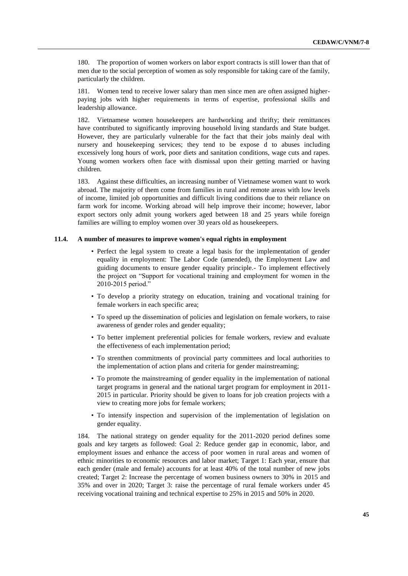180. The proportion of women workers on labor export contracts is still lower than that of men due to the social perception of women as soly responsible for taking care of the family, particularly the children.

181. Women tend to receive lower salary than men since men are often assigned higherpaying jobs with higher requirements in terms of expertise, professional skills and leadership allowance.

182. Vietnamese women housekeepers are hardworking and thrifty; their remittances have contributed to significantly improving household living standards and State budget. However, they are particularly vulnerable for the fact that their jobs mainly deal with nursery and housekeeping services; they tend to be expose d to abuses including excessively long hours of work, poor diets and sanitation conditions, wage cuts and rapes. Young women workers often face with dismissal upon their getting married or having children.

183. Against these difficulties, an increasing number of Vietnamese women want to work abroad. The majority of them come from families in rural and remote areas with low levels of income, limited job opportunities and difficult living conditions due to their reliance on farm work for income. Working abroad will help improve their income; however, labor export sectors only admit young workers aged between 18 and 25 years while foreign families are willing to employ women over 30 years old as housekeepers.

#### **11.4. A number of measures to improve women's equal rights in employment**

- Perfect the legal system to create a legal basis for the implementation of gender equality in employment: The Labor Code (amended), the Employment Law and guiding documents to ensure gender equality principle.- To implement effectively the project on "Support for vocational training and employment for women in the 2010-2015 period."
- To develop a priority strategy on education, training and vocational training for female workers in each specific area;
- To speed up the dissemination of policies and legislation on female workers, to raise awareness of gender roles and gender equality;
- To better implement preferential policies for female workers, review and evaluate the effectiveness of each implementation period;
- To strenthen commitments of provincial party committees and local authorities to the implementation of action plans and criteria for gender mainstreaming;
- To promote the mainstreaming of gender equality in the implementation of national target programs in general and the national target program for employment in 2011- 2015 in particular. Priority should be given to loans for job creation projects with a view to creating more jobs for female workers;
- To intensify inspection and supervision of the implementation of legislation on gender equality.

184. The national strategy on gender equality for the 2011-2020 period defines some goals and key targets as followed: Goal 2: Reduce gender gap in economic, labor, and employment issues and enhance the access of poor women in rural areas and women of ethnic minorities to economic resources and labor market; Target 1: Each year, ensure that each gender (male and female) accounts for at least 40% of the total number of new jobs created; Target 2: Increase the percentage of women business owners to 30% in 2015 and 35% and over in 2020; Target 3: raise the percentage of rural female workers under 45 receiving vocational training and technical expertise to 25% in 2015 and 50% in 2020.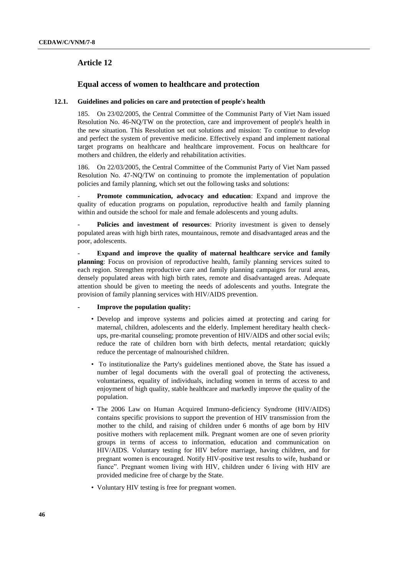## **Article 12**

## **Equal access of women to healthcare and protection**

#### **12.1. Guidelines and policies on care and protection of people's health**

185. On 23/02/2005, the Central Committee of the Communist Party of Viet Nam issued Resolution No. 46-NQ/TW on the protection, care and improvement of people's health in the new situation. This Resolution set out solutions and mission: To continue to develop and perfect the system of preventive medicine. Effectively expand and implement national target programs on healthcare and healthcare improvement. Focus on healthcare for mothers and children, the elderly and rehabilitation activities.

186. On 22/03/2005, the Central Committee of the Communist Party of Viet Nam passed Resolution No. 47-NQ/TW on continuing to promote the implementation of population policies and family planning, which set out the following tasks and solutions:

**Promote communication, advocacy and education**: Expand and improve the quality of education programs on population, reproductive health and family planning within and outside the school for male and female adolescents and young adults.

**Policies and investment of resources**: Priority investment is given to densely populated areas with high birth rates, mountainous, remote and disadvantaged areas and the poor, adolescents.

**Expand and improve the quality of maternal healthcare service and family planning**: Focus on provision of reproductive health, family planning services suited to each region. Strengthen reproductive care and family planning campaigns for rural areas, densely populated areas with high birth rates, remote and disadvantaged areas. Adequate attention should be given to meeting the needs of adolescents and youths. Integrate the provision of family planning services with HIV/AIDS prevention.

#### **- Improve the population quality:**

- Develop and improve systems and policies aimed at protecting and caring for maternal, children, adolescents and the elderly. Implement hereditary health checkups, pre-marital counseling; promote prevention of HIV/AIDS and other social evils; reduce the rate of children born with birth defects, mental retardation; quickly reduce the percentage of malnourished children.
- To institutionalize the Party's guidelines mentioned above, the State has issued a number of legal documents with the overall goal of protecting the activeness, voluntariness, equality of individuals, including women in terms of access to and enjoyment of high quality, stable healthcare and markedly improve the quality of the population.
- The 2006 Law on Human Acquired Immuno-deficiency Syndrome (HIV/AIDS) contains specific provisions to support the prevention of HIV transmission from the mother to the child, and raising of children under 6 months of age born by HIV positive mothers with replacement milk. Pregnant women are one of seven priority groups in terms of access to information, education and communication on HIV/AIDS. Voluntary testing for HIV before marriage, having children, and for pregnant women is encouraged. Notify HIV-positive test results to wife, husband or fiance". Pregnant women living with HIV, children under 6 living with HIV are provided medicine free of charge by the State.
- Voluntary HIV testing is free for pregnant women.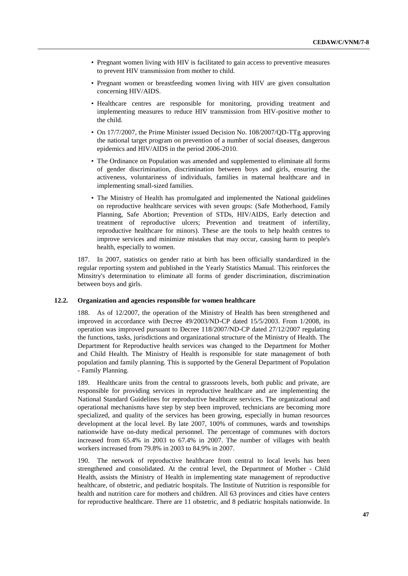- Pregnant women living with HIV is facilitated to gain access to preventive measures to prevent HIV transmission from mother to child.
- Pregnant women or breastfeeding women living with HIV are given consultation concerning HIV/AIDS.
- Healthcare centres are responsible for monitoring, providing treatment and implementing measures to reduce HIV transmission from HIV-positive mother to the child.
- On 17/7/2007, the Prime Minister issued Decision No. 108/2007/OD-TTg approving the national target program on prevention of a number of social diseases, dangerous epidemics and HIV/AIDS in the period 2006-2010.
- The Ordinance on Population was amended and supplemented to eliminate all forms of gender discrimination, discrimination between boys and girls, ensuring the activeness, voluntariness of individuals, families in maternal healthcare and in implementing small-sized families.
- The Ministry of Health has promulgated and implemented the National guidelines on reproductive healthcare services with seven groups: (Safe Motherhood, Family Planning, Safe Abortion; Prevention of STDs, HIV/AIDS, Early detection and treatment of reproductive ulcers; Prevention and treatment of infertility, reproductive healthcare for minors). These are the tools to help health centres to improve services and minimize mistakes that may occur, causing harm to people's health, especially to women.

187. In 2007, statistics on gender ratio at birth has been officially standardized in the regular reporting system and published in the Yearly Statistics Manual. This reinforces the Minsitry's determination to eliminate all forms of gender discrimination, discrimination between boys and girls.

#### **12.2. Organization and agencies responsible for women healthcare**

188. As of 12/2007, the operation of the Ministry of Health has been strengthened and improved in accordance with Decree 49/2003/ND-CP dated 15/5/2003. From 1/2008, its operation was improved pursuant to Decree 118/2007/ND-CP dated 27/12/2007 regulating the functions, tasks, jurisdictions and organizational structure of the Ministry of Health. The Department for Reproductive health services was changed to the Department for Mother and Child Health. The Ministry of Health is responsible for state management of both population and family planning. This is supported by the General Department of Population - Family Planning.

189. Healthcare units from the central to grassroots levels, both public and private, are responsible for providing services in reproductive healthcare and are implementing the National Standard Guidelines for reproductive healthcare services. The organizational and operational mechanisms have step by step been improved, technicians are becoming more specialized, and quality of the services has been growing, especially in human resources development at the local level. By late 2007, 100% of communes, wards and townships nationwide have on-duty medical personnel. The percentage of communes with doctors increased from 65.4% in 2003 to 67.4% in 2007. The number of villages with health workers increased from 79.8% in 2003 to 84.9% in 2007.

190. The network of reproductive healthcare from central to local levels has been strengthened and consolidated. At the central level, the Department of Mother - Child Health, assists the Ministry of Health in implementing state management of reproductive healthcare, of obstetric, and pediatric hospitals. The Institute of Nutrition is responsible for health and nutrition care for mothers and children. All 63 provinces and cities have centers for reproductive healthcare. There are 11 obstetric, and 8 pediatric hospitals nationwide. In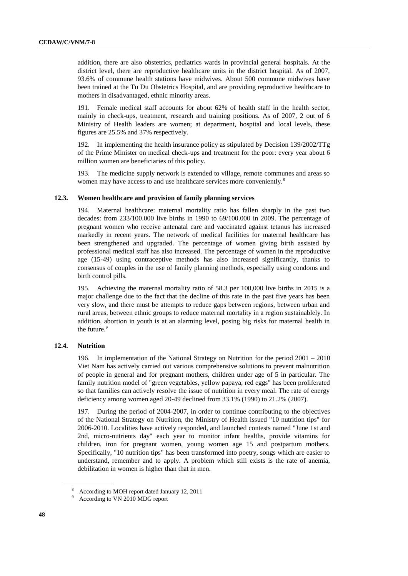addition, there are also obstetrics, pediatrics wards in provincial general hospitals. At the district level, there are reproductive healthcare units in the district hospital. As of 2007, 93.6% of commune health stations have midwives. About 500 commune midwives have been trained at the Tu Du Obstetrics Hospital, and are providing reproductive healthcare to mothers in disadvantaged, ethnic minority areas.

191. Female medical staff accounts for about 62% of health staff in the health sector, mainly in check-ups, treatment, research and training positions. As of 2007, 2 out of 6 Ministry of Health leaders are women; at department, hospital and local levels, these figures are 25.5% and 37% respectively.

192. In implementing the health insurance policy as stipulated by Decision 139/2002/TTg of the Prime Minister on medical check-ups and treatment for the poor: every year about 6 million women are beneficiaries of this policy.

193. The medicine supply network is extended to village, remote communes and areas so women may have access to and use healthcare services more conveniently.<sup>8</sup>

#### **12.3. Women healthcare and provision of family planning services**

194. Maternal healthcare: maternal mortality ratio has fallen sharply in the past two decades: from 233/100.000 live births in 1990 to 69/100.000 in 2009. The percentage of pregnant women who receive antenatal care and vaccinated against tetanus has increased markedly in recent years. The network of medical facilities for maternal healthcare has been strengthened and upgraded. The percentage of women giving birth assisted by professional medical staff has also increased. The percentage of women in the reproductive age (15-49) using contraceptive methods has also increased significantly, thanks to consensus of couples in the use of family planning methods, especially using condoms and birth control pills.

195. Achieving the maternal mortality ratio of 58.3 per 100,000 live births in 2015 is a major challenge due to the fact that the decline of this rate in the past five years has been very slow, and there must be attempts to reduce gaps between regions, between urban and rural areas, between ethnic groups to reduce maternal mortality in a region sustainablely. In addition, abortion in youth is at an alarming level, posing big risks for maternal health in the future.<sup>9</sup>

#### **12.4. Nutrition**

196. In implementation of the National Strategy on Nutrition for the period 2001 – 2010 Viet Nam has actively carried out various comprehensive solutions to prevent malnutrition of people in general and for pregnant mothers, children under age of 5 in particular. The family nutrition model of "green vegetables, yellow papaya, red eggs" has been proliferated so that families can actively resolve the issue of nutrition in every meal. The rate of energy deficiency among women aged 20-49 declined from 33.1% (1990) to 21.2% (2007).

197. During the period of 2004-2007, in order to continue contributing to the objectives of the National Strategy on Nutrition, the Ministry of Health issued "10 nutrition tips" for 2006-2010. Localities have actively responded, and launched contests named "June 1st and 2nd, micro-nutrients day" each year to monitor infant healths, provide vitamins for children, iron for pregnant women, young women age 15 and postpartum mothers. Specifically, "10 nutrition tips" has been transformed into poetry, songs which are easier to understand, remember and to apply. A problem which still exists is the rate of anemia, debilitation in women is higher than that in men.

<sup>8</sup> According to MOH report dated January 12, 2011

<sup>9</sup> According to VN 2010 MDG report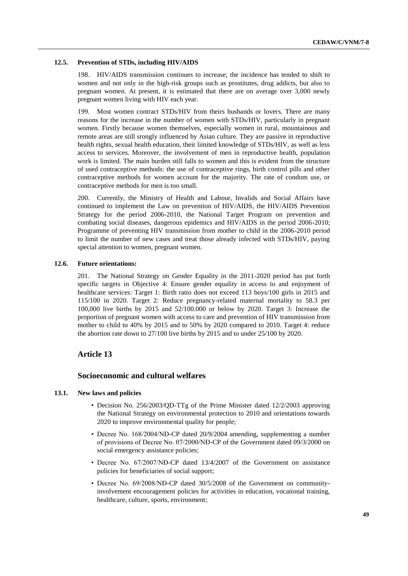#### **12.5. Prevention of STDs, including HIV/AIDS**

198. HIV/AIDS transmission continues to increase; the incidence has tended to shift to women and not only in the high-risk groups such as prostitutes, drug addicts, but also to pregnant women. At present, it is estimated that there are on average over 3,000 newly pregnant women living with HIV each year.

199. Most women contract STDs/HIV from theirs husbands or lovers. There are many reasons for the increase in the number of women with STDs/HIV, particularly in pregnant women. Firstly because women themselves, especially women in rural, mountainous and remote areas are still srongly influenced by Asian culture. They are passive in reproductive health rights, sexual health education, their limited knowledge of STDs/HIV, as well as less access to services. Moreover, the involvement of men in reproductive health, population work is limited. The main burden still falls to women and this is evident from the structure of used contraceptive methods: the use of contraceptive rings, birth control pills and other contraceptive methods for women account for the majority. The rate of condom use, or contraceptive methods for men is too small.

200. Currently, the Ministry of Health and Labour, Invalids and Social Affairs have continued to implement the Law on prevention of HIV/AIDS, the HIV/AIDS Prevention Strategy for the period 2006-2010, the National Target Program on prevention and combating social diseases, dangerous epidemics and HIV/AIDS in the period 2006-2010; Programme of preventing HIV transmission from mother to child in the 2006-2010 period to limit the number of new cases and treat those already infected with STDs/HIV, paying special attention to women, pregnant women.

#### **12.6. Future orientations:**

201. The National Strategy on Gender Equality in the 2011-2020 period has put forth specific targets in Objective 4: Ensure gender equality in access to and enjoyment of healthcare services: Target 1: Birth ratio does not exceed 113 boys/100 girls in 2015 and 115/100 in 2020. Target 2: Reduce pregnancy-related maternal mortality to 58.3 per 100,000 live births by 2015 and 52/100.000 or below by 2020. Target 3: Increase the proportion of pregnant women with access to care and prevention of HIV transmission from mother to child to 40% by 2015 and to 50% by 2020 compared to 2010. Target 4: reduce the abortion rate down to 27/100 live births by 2015 and to under 25/100 by 2020.

#### **Article 13**

## **Socioeconomic and cultural welfares**

#### **13.1. New laws and policies**

- Decision No. 256/2003/QD-TTg of the Prime Minister dated 12/2/2003 approving the National Strategy on environmental protection to 2010 and orientations towards 2020 to improve environmental quality for people;
- Decree No. 168/2004/NĐ-CP dated 20/9/2004 amending, supplementing a number of provisions of Decree No. 07/2000/NĐ-CP of the Government dated 09/3/2000 on social emergency assistance policies;
- Decree No. 67/2007/NĐ-CP dated 13/4/2007 of the Government on assistance policies for beneficiaries of social support;
- Decree No. 69/2008/NĐ-CP dated 30/5/2008 of the Government on communityinvolvement encouragement policies for activities in education, vocational training, healthcare, culture, sports, environment;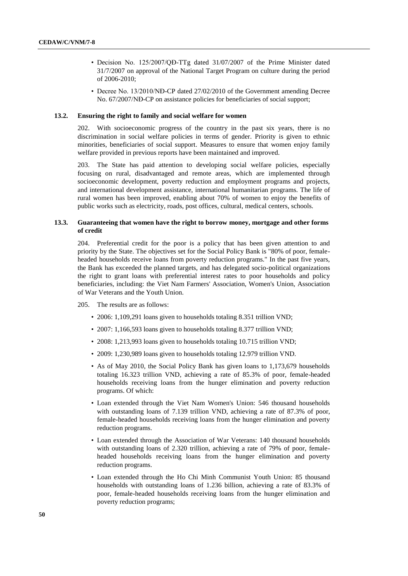- Decision No. 125/2007/QĐ-TTg dated 31/07/2007 of the Prime Minister dated 31/7/2007 on approval of the National Target Program on culture during the period of 2006-2010;
- Decree No. 13/2010/NĐ-CP dated 27/02/2010 of the Government amending Decree No. 67/2007/NĐ-CP on assistance policies for beneficiaries of social support;

#### **13.2. Ensuring the right to family and social welfare for women**

202. With socioeconomic progress of the country in the past six years, there is no discrimination in social welfare policies in terms of gender. Priority is given to ethnic minorities, beneficiaries of social support. Measures to ensure that women enjoy family welfare provided in previous reports have been maintained and improved.

203. The State has paid attention to developing social welfare policies, especially focusing on rural, disadvantaged and remote areas, which are implemented through socioeconomic development, poverty reduction and employment programs and projects, and international development assistance, international humanitarian programs. The life of rural women has been improved, enabling about 70% of women to enjoy the benefits of public works such as electricity, roads, post offices, cultural, medical centers, schools.

#### **13.3. Guaranteeing that women have the right to borrow money, mortgage and other forms of credit**

204. Preferential credit for the poor is a policy that has been given attention to and priority by the State. The objectives set for the Social Policy Bank is "80% of poor, femaleheaded households receive loans from poverty reduction programs." In the past five years, the Bank has exceeded the planned targets, and has delegated socio-political organizations the right to grant loans with preferential interest rates to poor households and policy beneficiaries, including: the Viet Nam Farmers' Association, Women's Union, Association of War Veterans and the Youth Union.

#### 205. The results are as follows:

- 2006: 1,109,291 loans given to households totaling 8.351 trillion VND;
- 2007: 1,166,593 loans given to households totaling 8.377 trillion VND;
- 2008: 1,213,993 loans given to households totaling 10.715 trillion VND;
- 2009: 1,230,989 loans given to households totaling 12.979 trillion VND.
- As of May 2010, the Social Policy Bank has given loans to 1,173,679 households totaling 16.323 trillion VND, achieving a rate of 85.3% of poor, female-headed households receiving loans from the hunger elimination and poverty reduction programs. Of which:
- Loan extended through the Viet Nam Women's Union: 546 thousand households with outstanding loans of 7.139 trillion VND, achieving a rate of 87.3% of poor, female-headed households receiving loans from the hunger elimination and poverty reduction programs.
- Loan extended through the Association of War Veterans: 140 thousand households with outstanding loans of 2.320 trillion, achieving a rate of 79% of poor, femaleheaded households receiving loans from the hunger elimination and poverty reduction programs.
- Loan extended through the Ho Chi Minh Communist Youth Union: 85 thousand households with outstanding loans of 1.236 billion, achieving a rate of 83.3% of poor, female-headed households receiving loans from the hunger elimination and poverty reduction programs;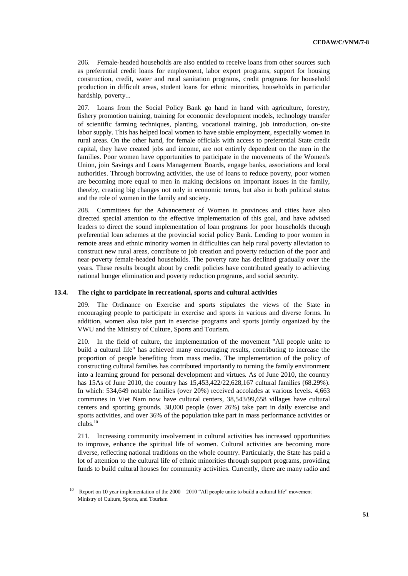206. Female-headed households are also entitled to receive loans from other sources such as preferential credit loans for employment, labor export programs, support for housing construction, credit, water and rural sanitation programs, credit programs for household production in difficult areas, student loans for ethnic minorities, households in particular hardship, poverty...

207. Loans from the Social Policy Bank go hand in hand with agriculture, forestry, fishery promotion training, training for economic development models, technology transfer of scientific farming techniques, planting, vocational training, job introduction, on-site labor supply. This has helped local women to have stable employment, especially women in rural areas. On the other hand, for female officials with access to preferential State credit capital, they have created jobs and income, are not entirely dependent on the men in the families. Poor women have opportunities to participate in the movements of the Women's Union, join Savings and Loans Management Boards, engage banks, associations and local authorities. Through borrowing activities, the use of loans to reduce poverty, poor women are becoming more equal to men in making decisions on important issues in the family, thereby, creating big changes not only in economic terms, but also in both political status and the role of women in the family and society.

208. Committees for the Advancement of Women in provinces and cities have also directed special attention to the effective implementation of this goal, and have advised leaders to direct the sound implementation of loan programs for poor households through preferential loan schemes at the provincial social policy Bank. Lending to poor women in remote areas and ethnic minority women in difficulties can help rural poverty alleviation to construct new rural areas, contribute to job creation and poverty reduction of the poor and near-poverty female-headed households. The poverty rate has declined gradually over the years. These results brought about by credit policies have contributed greatly to achieving national hunger elimination and poverty reduction programs, and social security.

#### **13.4. The right to participate in recreational, sports and cultural activities**

209. The Ordinance on Exercise and sports stipulates the views of the State in encouraging people to participate in exercise and sports in various and diverse forms. In addition, women also take part in exercise programs and sports jointly organized by the VWU and the Ministry of Culture, Sports and Tourism.

210. In the field of culture, the implementation of the movement "All people unite to build a cultural life" has achieved many encouraging results, contributing to increase the proportion of people benefiting from mass media. The implementation of the policy of constructing cultural families has contributed importantly to turning the family environment into a learning ground for personal development and virtues. As of June 2010, the country has 15As of June 2010, the country has 15,453,422/22,628,167 cultural families (68.29%). In which: 534,649 notable families (over 20%) received accolades at various levels. 4,663 communes in Viet Nam now have cultural centers, 38,543/99,658 villages have cultural centers and sporting grounds. 38,000 people (over 26%) take part in daily exercise and sports activities, and over 36% of the population take part in mass performance activities or clubs.<sup>10</sup>

211. Increasing community involvement in cultural activities has increased opportunities to improve, enhance the spiritual life of women. Cultural activities are becoming more diverse, reflecting national traditions on the whole country. Particularly, the State has paid a lot of attention to the cultural life of ethnic minorities through support programs, providing funds to build cultural houses for community activities. Currently, there are many radio and

<sup>&</sup>lt;sup>10</sup> Report on 10 year implementation of the  $2000 - 2010$  "All people unite to build a cultural life" movement Ministry of Culture, Sports, and Tourism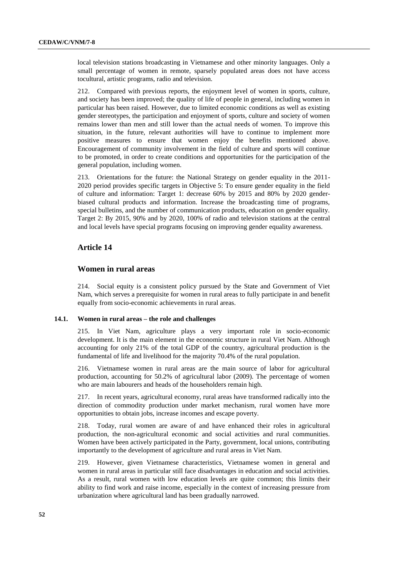local television stations broadcasting in Vietnamese and other minority languages. Only a small percentage of women in remote, sparsely populated areas does not have access tocultural, artistic programs, radio and television.

212. Compared with previous reports, the enjoyment level of women in sports, culture, and society has been improved; the quality of life of people in general, including women in particular has been raised. However, due to limited economic conditions as well as existing gender stereotypes, the participation and enjoyment of sports, culture and society of women remains lower than men and still lower than the actual needs of women. To improve this situation, in the future, relevant authorities will have to continue to implement more positive measures to ensure that women enjoy the benefits mentioned above. Encouragement of community involvement in the field of culture and sports will continue to be promoted, in order to create conditions and opportunities for the participation of the general population, including women.

213. Orientations for the future: the National Strategy on gender equality in the 2011- 2020 period provides specific targets in Objective 5: To ensure gender equality in the field of culture and information: Target 1: decrease 60% by 2015 and 80% by 2020 genderbiased cultural products and information. Increase the broadcasting time of programs, special bulletins, and the number of communication products, education on gender equality. Target 2: By 2015, 90% and by 2020, 100% of radio and television stations at the central and local levels have special programs focusing on improving gender equality awareness.

#### **Article 14**

### **Women in rural areas**

214. Social equity is a consistent policy pursued by the State and Government of Viet Nam, which serves a prerequisite for women in rural areas to fully participate in and benefit equally from socio-economic achievements in rural areas.

#### **14.1. Women in rural areas – the role and challenges**

215. In Viet Nam, agriculture plays a very important role in socio-economic development. It is the main element in the economic structure in rural Viet Nam. Although accounting for only 21% of the total GDP of the country, agricultural production is the fundamental of life and livelihood for the majority 70.4% of the rural population.

216. Vietnamese women in rural areas are the main source of labor for agricultural production, accounting for 50.2% of agricultural labor (2009). The percentage of women who are main labourers and heads of the householders remain high.

217. In recent years, agricultural economy, rural areas have transformed radically into the direction of commodity production under market mechanism, rural women have more opportunities to obtain jobs, increase incomes and escape poverty.

218. Today, rural women are aware of and have enhanced their roles in agricultural production, the non-agricultural economic and social activities and rural communities. Women have been actively participated in the Party, government, local unions, contributing importantly to the development of agriculture and rural areas in Viet Nam.

219. However, given Vietnamese characteristics, Vietnamese women in general and women in rural areas in particular still face disadvantages in education and social activities. As a result, rural women with low education levels are quite common; this limits their ability to find work and raise income, especially in the context of increasing pressure from urbanization where agricultural land has been gradually narrowed.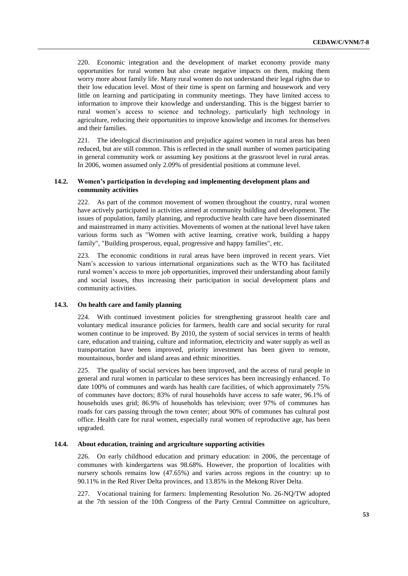220. Economic integration and the development of market economy provide many opportunities for rural women but also create negative impacts on them, making them worry more about family life. Many rural women do not understand their legal rights due to their low education level. Most of their time is spent on farming and housework and very little on learning and participating in community meetings. They have limited access to information to improve their knowledge and understanding. This is the biggest barrier to rural women's access to science and technology, particularly high technology in agriculture, reducing their opportunities to improve knowledge and incomes for themselves and their families.

221. The ideological discrimination and prejudice against women in rural areas has been reduced, but are still common. This is reflected in the small number of women participating in general community work or assuming key positions at the grassroot level in rural areas. In 2006, women assumed only 2.09% of presidential positions at commune level.

#### **14.2. Women's participation in developing and implementing development plans and community activities**

222. As part of the common movement of women throughout the country, rural women have actively participated in activities aimed at community building and development. The issues of population, family planning, and reproductive health care have been disseminated and mainstreamed in many activities. Movements of women at the national level have taken various forms such as "Women with active learning, creative work, building a happy family", "Building prosperous, equal, progressive and happy families", etc.

223. The economic conditions in rural areas have been improved in recent years. Viet Nam's accession to various international organizations such as the WTO has facilitated rural women's access to more job opportunities, improved their understanding about family and social issues, thus increasing their participation in social development plans and community activities.

#### **14.3. On health care and family planning**

With continued investment policies for strengthening grassroot health care and voluntary medical insurance policies for farmers, health care and social security for rural women continue to be improved. By 2010, the system of social services in terms of health care, education and training, culture and information, electricity and water supply as well as transportation have been improved, priority investment has been given to remote, mountainous, border and island areas and ethnic minorities.

225. The quality of social services has been improved, and the access of rural people in general and rural women in particular to these services has been increasingly enhanced. To date 100% of communes and wards has health care facilities, of which approximately 75% of communes have doctors; 83% of rural households have access to safe water, 96.1% of households uses grid; 86.9% of households has television; over 97% of communes has roads for cars passing through the town center; about 90% of communes has cultural post office. Health care for rural women, especially rural women of reproductive age, has been upgraded.

#### **14.4. About education, training and argriculture supporting activities**

226. On early childhood education and primary education: in 2006, the percentage of communes with kindergartens was 98.68%. However, the proportion of localities with nursery schools remains low (47.65%) and varies across regions in the country: up to 90.11% in the Red River Delta provinces, and 13.85% in the Mekong River Delta.

227. Vocational training for farmers: Implementing Resolution No. 26-NQ/TW adopted at the 7th session of the 10th Congress of the Party Central Committee on agriculture,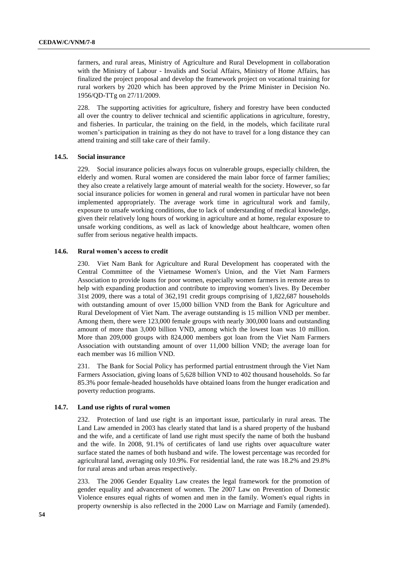farmers, and rural areas, Ministry of Agriculture and Rural Development in collaboration with the Ministry of Labour - Invalids and Social Affairs, Ministry of Home Affairs, has finalized the project proposal and develop the framework project on vocational training for rural workers by 2020 which has been approved by the Prime Minister in Decision No. 1956/QD-TTg on 27/11/2009.

228. The supporting activities for agriculture, fishery and forestry have been conducted all over the country to deliver technical and scientific applications in agriculture, forestry, and fisheries. In particular, the training on the field, in the models, which facilitate rural women's participation in training as they do not have to travel for a long distance they can attend training and still take care of their family.

#### **14.5. Social insurance**

229. Social insurance policies always focus on vulnerable groups, especially children, the elderly and women. Rural women are considered the main labor force of farmer families; they also create a relatively large amount of material wealth for the society. However, so far social insurance policies for women in general and rural women in particular have not been implemented appropriately. The average work time in agricultural work and family, exposure to unsafe working conditions, due to lack of understanding of medical knowledge, given their relatively long hours of working in agriculture and at home, regular exposure to unsafe working conditions, as well as lack of knowledge about healthcare, women often suffer from serious negative health impacts.

#### **14.6. Rural women's access to credit**

230. Viet Nam Bank for Agriculture and Rural Development has cooperated with the Central Committee of the Vietnamese Women's Union, and the Viet Nam Farmers Association to provide loans for poor women, especially women farmers in remote areas to help with expanding production and contribute to improving women's lives. By December 31st 2009, there was a total of 362,191 credit groups comprising of 1,822,687 households with outstanding amount of over 15,000 billion VND from the Bank for Agriculture and Rural Development of Viet Nam. The average outstanding is 15 million VND per member. Among them, there were 123,000 female groups with nearly 300,000 loans and outstanding amount of more than 3,000 billion VND, among which the lowest loan was 10 million. More than 209,000 groups with 824,000 members got loan from the Viet Nam Farmers Association with outstanding amount of over 11,000 billion VND; the average loan for each member was 16 million VND.

231. The Bank for Social Policy has performed partial entrustment through the Viet Nam Farmers Association, giving loans of 5,628 billion VND to 402 thousand households. So far 85.3% poor female-headed households have obtained loans from the hunger eradication and poverty reduction programs.

#### **14.7. Land use rights of rural women**

232. Protection of land use right is an important issue, particularly in rural areas. The Land Law amended in 2003 has clearly stated that land is a shared property of the husband and the wife, and a certificate of land use right must specify the name of both the husband and the wife. In 2008, 91.1% of certificates of land use rights over aquaculture water surface stated the names of both husband and wife. The lowest percentage was recorded for agricultural land, averaging only 10.9%. For residential land, the rate was 18.2% and 29.8% for rural areas and urban areas respectively.

233. The 2006 Gender Equality Law creates the legal framework for the promotion of gender equality and advancement of women. The 2007 Law on Prevention of Domestic Violence ensures equal rights of women and men in the family. Women's equal rights in property ownership is also reflected in the 2000 Law on Marriage and Family (amended).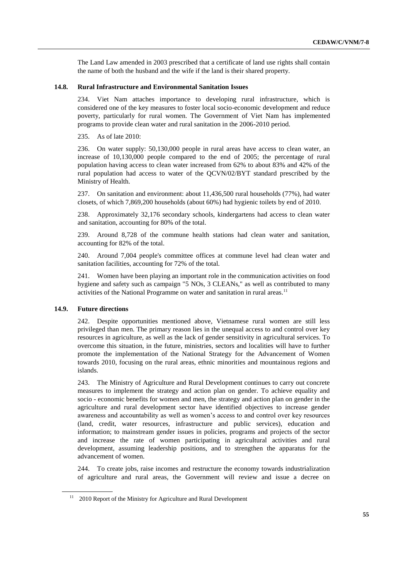The Land Law amended in 2003 prescribed that a certificate of land use rights shall contain the name of both the husband and the wife if the land is their shared property.

#### **14.8. Rural Infrastructure and Environmental Sanitation Issues**

234. Viet Nam attaches importance to developing rural infrastructure, which is considered one of the key measures to foster local socio-economic development and reduce poverty, particularly for rural women. The Government of Viet Nam has implemented programs to provide clean water and rural sanitation in the 2006-2010 period.

235. As of late 2010:

236. On water supply: 50,130,000 people in rural areas have access to clean water, an increase of 10,130,000 people compared to the end of 2005; the percentage of rural population having access to clean water increased from 62% to about 83% and 42% of the rural population had access to water of the QCVN/02/BYT standard prescribed by the Ministry of Health.

237. On sanitation and environment: about 11,436,500 rural households (77%), had water closets, of which 7,869,200 households (about 60%) had hygienic toilets by end of 2010.

238. Approximately 32,176 secondary schools, kindergartens had access to clean water and sanitation, accounting for 80% of the total.

239. Around 8,728 of the commune health stations had clean water and sanitation, accounting for 82% of the total.

240. Around 7,004 people's committee offices at commune level had clean water and sanitation facilities, accounting for 72% of the total.

241. Women have been playing an important role in the communication activities on food hygiene and safety such as campaign "5 NOs, 3 CLEANs," as well as contributed to many activities of the National Programme on water and sanitation in rural areas.<sup>11</sup>

#### **14.9. Future directions**

242. Despite opportunities mentioned above, Vietnamese rural women are still less privileged than men. The primary reason lies in the unequal access to and control over key resources in agriculture, as well as the lack of gender sensitivity in agricultural services. To overcome this situation, in the future, ministries, sectors and localities will have to further promote the implementation of the National Strategy for the Advancement of Women towards 2010, focusing on the rural areas, ethnic minorities and mountainous regions and islands.

243. The Ministry of Agriculture and Rural Development continues to carry out concrete measures to implement the strategy and action plan on gender. To achieve equality and socio - economic benefits for women and men, the strategy and action plan on gender in the agriculture and rural development sector have identified objectives to increase gender awareness and accountability as well as women's access to and control over key resources (land, credit, water resources, infrastructure and public services), education and information; to mainstream gender issues in policies, programs and projects of the sector and increase the rate of women participating in agricultural activities and rural development, assuming leadership positions, and to strengthen the apparatus for the advancement of women.

244. To create jobs, raise incomes and restructure the economy towards industrialization of agriculture and rural areas, the Government will review and issue a decree on

 $11$  2010 Report of the Ministry for Agriculture and Rural Development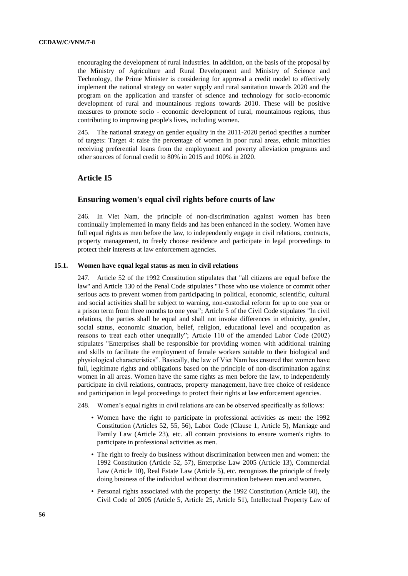encouraging the development of rural industries. In addition, on the basis of the proposal by the Ministry of Agriculture and Rural Development and Ministry of Science and Technology, the Prime Minister is considering for approval a credit model to effectively implement the national strategy on water supply and rural sanitation towards 2020 and the program on the application and transfer of science and technology for socio-economic development of rural and mountainous regions towards 2010. These will be positive measures to promote socio - economic development of rural, mountainous regions, thus contributing to improving people's lives, including women.

245. The national strategy on gender equality in the 2011-2020 period specifies a number of targets: Target 4: raise the percentage of women in poor rural areas, ethnic minorities receiving preferential loans from the employment and poverty alleviation programs and other sources of formal credit to 80% in 2015 and 100% in 2020.

## **Article 15**

#### **Ensuring women's equal civil rights before courts of law**

246. In Viet Nam, the principle of non-discrimination against women has been continually implemented in many fields and has been enhanced in the society. Women have full equal rights as men before the law, to independently engage in civil relations, contracts, property management, to freely choose residence and participate in legal proceedings to protect their interests at law enforcement agencies.

#### **15.1. Women have equal legal status as men in civil relations**

247. Article 52 of the 1992 Constitution stipulates that "all citizens are equal before the law" and Article 130 of the Penal Code stipulates "Those who use violence or commit other serious acts to prevent women from participating in political, economic, scientific, cultural and social activities shall be subject to warning, non-custodial reform for up to one year or a prison term from three months to one year"; Article 5 of the Civil Code stipulates "In civil relations, the parties shall be equal and shall not invoke differences in ethnicity, gender, social status, economic situation, belief, religion, educational level and occupation as reasons to treat each other unequally"; Article 110 of the amended Labor Code (2002) stipulates "Enterprises shall be responsible for providing women with additional training and skills to facilitate the employment of female workers suitable to their biological and physiological characteristics". Basically, the law of Viet Nam has ensured that women have full, legitimate rights and obligations based on the principle of non-discrimination against women in all areas. Women have the same rights as men before the law, to independently participate in civil relations, contracts, property management, have free choice of residence and participation in legal proceedings to protect their rights at law enforcement agencies.

- 248. Women's equal rights in civil relations are can be observed specifically as follows:
	- Women have the right to participate in professional activities as men: the 1992 Constitution (Articles 52, 55, 56), Labor Code (Clause 1, Article 5), Marriage and Family Law (Article 23), etc. all contain provisions to ensure women's rights to participate in professional activities as men.
	- The right to freely do business without discrimination between men and women: the 1992 Constitution (Article 52, 57), Enterprise Law 2005 (Article 13), Commercial Law (Article 10), Real Estate Law (Article 5), etc. recognizes the principle of freely doing business of the individual without discrimination between men and women.
	- Personal rights associated with the property: the 1992 Constitution (Article 60), the Civil Code of 2005 (Article 5, Article 25, Article 51), Intellectual Property Law of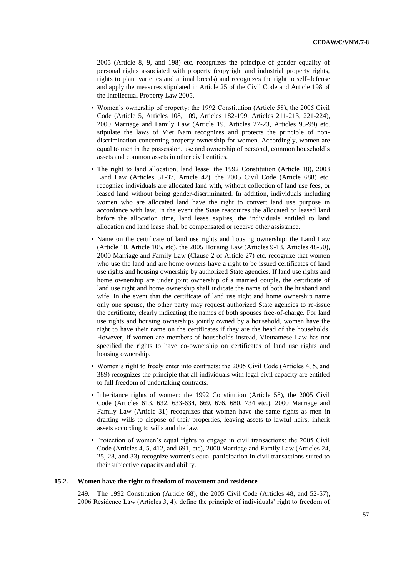2005 (Article 8, 9, and 198) etc. recognizes the principle of gender equality of personal rights associated with property (copyright and industrial property rights, rights to plant varieties and animal breeds) and recognizes the right to self-defense and apply the measures stipulated in Article 25 of the Civil Code and Article 198 of the Intellectual Property Law 2005.

- Women's ownership of property: the 1992 Constitution (Article 58), the 2005 Civil Code (Article 5, Articles 108, 109, Articles 182-199, Articles 211-213, 221-224), 2000 Marriage and Family Law (Article 19, Articles 27-23, Articles 95-99) etc. stipulate the laws of Viet Nam recognizes and protects the principle of nondiscrimination concerning property ownership for women. Accordingly, women are equal to men in the possession, use and ownership of personal, common household's assets and common assets in other civil entities.
- The right to land allocation, land lease: the 1992 Constitution (Article 18), 2003 Land Law (Articles 31-37, Article 42), the 2005 Civil Code (Article 688) etc. recognize individuals are allocated land with, without collection of land use fees, or leased land without being gender-discriminated. In addition, individuals including women who are allocated land have the right to convert land use purpose in accordance with law. In the event the State reacquires the allocated or leased land before the allocation time, land lease expires, the individuals entitled to land allocation and land lease shall be compensated or receive other assistance.
- Name on the certificate of land use rights and housing ownership: the Land Law (Article 10, Article 105, etc), the 2005 Housing Law (Articles 9-13, Articles 48-50), 2000 Marriage and Family Law (Clause 2 of Article 27) etc. recognize that women who use the land and are home owners have a right to be issued certificates of land use rights and housing ownership by authorized State agencies. If land use rights and home ownership are under joint ownership of a married couple, the certificate of land use right and home ownership shall indicate the name of both the husband and wife. In the event that the certificate of land use right and home ownership name only one spouse, the other party may request authorized State agencies to re-issue the certificate, clearly indicating the names of both spouses free-of-charge. For land use rights and housing ownerships jointly owned by a household, women have the right to have their name on the certificates if they are the head of the households. However, if women are members of households instead, Vietnamese Law has not specified the rights to have co-ownership on certificates of land use rights and housing ownership.
- Women's right to freely enter into contracts: the 2005 Civil Code (Articles 4, 5, and 389) recognizes the principle that all individuals with legal civil capacity are entitled to full freedom of undertaking contracts.
- Inheritance rights of women: the 1992 Constitution (Article 58), the 2005 Civil Code (Articles 613, 632, 633-634, 669, 676, 680, 734 etc.), 2000 Marriage and Family Law (Article 31) recognizes that women have the same rights as men in drafting wills to dispose of their properties, leaving assets to lawful heirs; inherit assets according to wills and the law.
- Protection of women's equal rights to engage in civil transactions: the 2005 Civil Code (Articles 4, 5, 412, and 691, etc), 2000 Marriage and Family Law (Articles 24, 25, 28, and 33) recognize women's equal participation in civil transactions suited to their subjective capacity and ability.

#### **15.2. Women have the right to freedom of movement and residence**

249. The 1992 Constitution (Article 68), the 2005 Civil Code (Articles 48, and 52-57), 2006 Residence Law (Articles 3, 4), define the principle of individuals' right to freedom of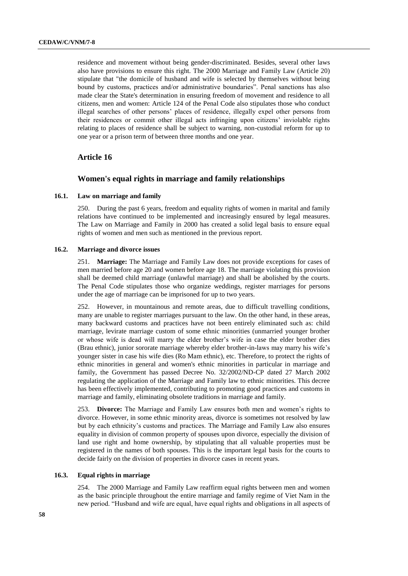residence and movement without being gender-discriminated. Besides, several other laws also have provisions to ensure this right. The 2000 Marriage and Family Law (Article 20) stipulate that "the domicile of husband and wife is selected by themselves without being bound by customs, practices and/or administrative boundaries". Penal sanctions has also made clear the State's determination in ensuring freedom of movement and residence to all citizens, men and women: Article 124 of the Penal Code also stipulates those who conduct illegal searches of other persons' places of residence, illegally expel other persons from their residences or commit other illegal acts infringing upon citizens' inviolable rights relating to places of residence shall be subject to warning, non-custodial reform for up to one year or a prison term of between three months and one year.

#### **Article 16**

#### **Women's equal rights in marriage and family relationships**

#### **16.1. Law on marriage and family**

250. During the past 6 years, freedom and equality rights of women in marital and family relations have continued to be implemented and increasingly ensured by legal measures. The Law on Marriage and Family in 2000 has created a solid legal basis to ensure equal rights of women and men such as mentioned in the previous report.

#### **16.2. Marriage and divorce issues**

251. **Marriage:** The Marriage and Family Law does not provide exceptions for cases of men married before age 20 and women before age 18. The marriage violating this provision shall be deemed child marriage (unlawful marriage) and shall be abolished by the courts. The Penal Code stipulates those who organize weddings, register marriages for persons under the age of marriage can be imprisoned for up to two years.

252. However, in mountainous and remote areas, due to difficult travelling conditions, many are unable to register marriages pursuant to the law. On the other hand, in these areas, many backward customs and practices have not been entirely eliminated such as: child marriage, levirate marriage custom of some ethnic minorities (unmarried younger brother or whose wife is dead will marry the elder brother's wife in case the elder brother dies (Brau ethnic), junior sororate marriage whereby elder brother-in-laws may marry his wife's younger sister in case his wife dies (Ro Mam ethnic), etc. Therefore, to protect the rights of ethnic minorities in general and women's ethnic minorities in particular in marriage and family, the Government has passed Decree No. 32/2002/ND-CP dated 27 March 2002 regulating the application of the Marriage and Family law to ethnic minorities. This decree has been effectively implemented, contributing to promoting good practices and customs in marriage and family, eliminating obsolete traditions in marriage and family.

253. **Divorce:** The Marriage and Family Law ensures both men and women's rights to divorce. However, in some ethnic minority areas, divorce is sometimes not resolved by law but by each ethnicity's customs and practices. The Marriage and Family Law also ensures equality in division of common property of spouses upon divorce, especially the division of land use right and home ownership, by stipulating that all valuable properties must be registered in the names of both spouses. This is the important legal basis for the courts to decide fairly on the division of properties in divorce cases in recent years.

#### **16.3. Equal rights in marriage**

254. The 2000 Marriage and Family Law reaffirm equal rights between men and women as the basic principle throughout the entire marriage and family regime of Viet Nam in the new period. "Husband and wife are equal, have equal rights and obligations in all aspects of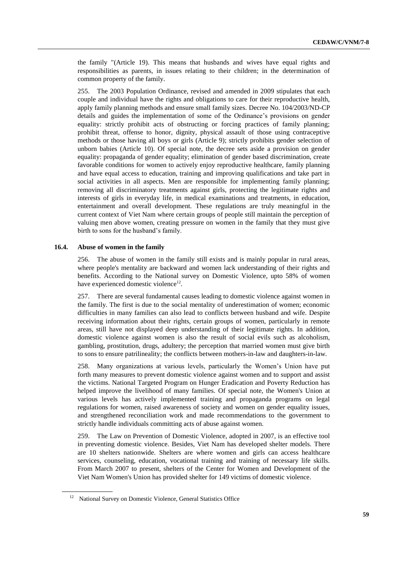the family "(Article 19). This means that husbands and wives have equal rights and responsibilities as parents, in issues relating to their children; in the determination of common property of the family.

255. The 2003 Population Ordinance, revised and amended in 2009 stipulates that each couple and individual have the rights and obligations to care for their reproductive health, apply family planning methods and ensure small family sizes. Decree No. 104/2003/ND-CP details and guides the implementation of some of the Ordinance's provisions on gender equality: strictly prohibit acts of obstructing or forcing practices of family planning; prohibit threat, offense to honor, dignity, physical assault of those using contraceptive methods or those having all boys or girls (Article 9); strictly prohibits gender selection of unborn babies (Article 10). Of special note, the decree sets aside a provision on gender equality: propaganda of gender equality; elimination of gender based discrimination, create favorable conditions for women to actively enjoy reproductive healthcare, family planning and have equal access to education, training and improving qualifications and take part in social activities in all aspects. Men are responsible for implementing family planning; removing all discriminatory treatments against girls, protecting the legitimate rights and interests of girls in everyday life, in medical examinations and treatments, in education, entertainment and overall development. These regulations are truly meaningful in the current context of Viet Nam where certain groups of people still maintain the perception of valuing men above women, creating pressure on women in the family that they must give birth to sons for the husband's family.

#### **16.4. Abuse of women in the family**

256. The abuse of women in the family still exists and is mainly popular in rural areas, where people's mentality are backward and women lack understanding of their rights and benefits. According to the National survey on Domestic Violence, upto 58% of women have experienced domestic violence<sup>12</sup>.

257. There are several fundamental causes leading to domestic violence against women in the family. The first is due to the social mentality of underestimation of women; economic difficulties in many families can also lead to conflicts between husband and wife. Despite receiving information about their rights, certain groups of women, particularly in remote areas, still have not displayed deep understanding of their legitimate rights. In addition, domestic violence against women is also the result of social evils such as alcoholism, gambling, prostitution, drugs, adultery; the perception that married women must give birth to sons to ensure patrilineality; the conflicts between mothers-in-law and daughters-in-law.

258. Many organizations at various levels, particularly the Women's Union have put forth many measures to prevent domestic violence against women and to support and assist the victims. National Targeted Program on Hunger Eradication and Poverty Reduction has helped improve the livelihood of many families. Of special note, the Women's Union at various levels has actively implemented training and propaganda programs on legal regulations for women, raised awareness of society and women on gender equality issues, and strengthened reconciliation work and made recommendations to the government to strictly handle individuals committing acts of abuse against women.

259. The Law on Prevention of Domestic Violence, adopted in 2007, is an effective tool in preventing domestic violence. Besides, Viet Nam has developed shelter models. There are 10 shelters nationwide. Shelters are where women and girls can access healthcare services, counseling, education, vocational training and training of necessary life skills. From March 2007 to present, shelters of the Center for Women and Development of the Viet Nam Women's Union has provided shelter for 149 victims of domestic violence.

<sup>&</sup>lt;sup>12</sup> National Survey on Domestic Violence, General Statistics Office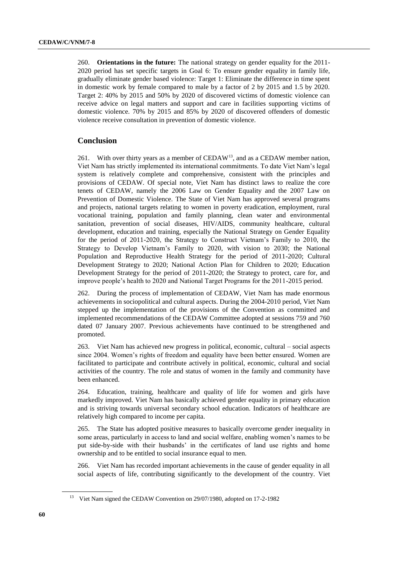260. **Orientations in the future:** The national strategy on gender equality for the 2011- 2020 period has set specific targets in Goal 6: To ensure gender equality in family life, gradually eliminate gender based violence: Target 1: Eliminate the difference in time spent in domestic work by female compared to male by a factor of 2 by 2015 and 1.5 by 2020. Target 2: 40% by 2015 and 50% by 2020 of discovered victims of domestic violence can receive advice on legal matters and support and care in facilities supporting victims of domestic violence. 70% by 2015 and 85% by 2020 of discovered offenders of domestic violence receive consultation in prevention of domestic violence.

## **Conclusion**

261. With over thirty years as a member of  $\text{CEDAW}^{13}$ , and as a  $\text{CEDAW}$  member nation, Viet Nam has strictly implemented its international commitments. To date Viet Nam's legal system is relatively complete and comprehensive, consistent with the principles and provisions of CEDAW. Of special note, Viet Nam has distinct laws to realize the core tenets of CEDAW, namely the 2006 Law on Gender Equality and the 2007 Law on Prevention of Domestic Violence. The State of Viet Nam has approved several programs and projects, national targets relating to women in poverty eradication, employment, rural vocational training, population and family planning, clean water and environmental sanitation, prevention of social diseases, HIV/AIDS, community healthcare, cultural development, education and training, especially the National Strategy on Gender Equality for the period of 2011-2020, the Strategy to Construct Vietnam's Family to 2010, the Strategy to Develop Vietnam's Family to 2020, with vision to 2030; the National Population and Reproductive Health Strategy for the period of 2011-2020; Cultural Development Strategy to 2020; National Action Plan for Children to 2020; Education Development Strategy for the period of 2011-2020; the Strategy to protect, care for, and improve people's health to 2020 and National Target Programs for the 2011-2015 period.

262. During the process of implementation of CEDAW, Viet Nam has made enormous achievements in sociopolitical and cultural aspects. During the 2004-2010 period, Viet Nam stepped up the implementation of the provisions of the Convention as committed and implemented recommendations of the CEDAW Committee adopted at sessions 759 and 760 dated 07 January 2007. Previous achievements have continued to be strengthened and promoted.

263. Viet Nam has achieved new progress in political, economic, cultural – social aspects since 2004. Women's rights of freedom and equality have been better ensured. Women are facilitated to participate and contribute actively in political, economic, cultural and social activities of the country. The role and status of women in the family and community have been enhanced.

264. Education, training, healthcare and quality of life for women and girls have markedly improved. Viet Nam has basically achieved gender equality in primary education and is striving towards universal secondary school education. Indicators of healthcare are relatively high compared to income per capita.

265. The State has adopted positive measures to basically overcome gender inequality in some areas, particularly in access to land and social welfare, enabling women's names to be put side-by-side with their husbands' in the certificates of land use rights and home ownership and to be entitled to social insurance equal to men.

266. Viet Nam has recorded important achievements in the cause of gender equality in all social aspects of life, contributing significantly to the development of the country. Viet

<sup>&</sup>lt;sup>13</sup> Viet Nam signed the CEDAW Convention on 29/07/1980, adopted on 17-2-1982